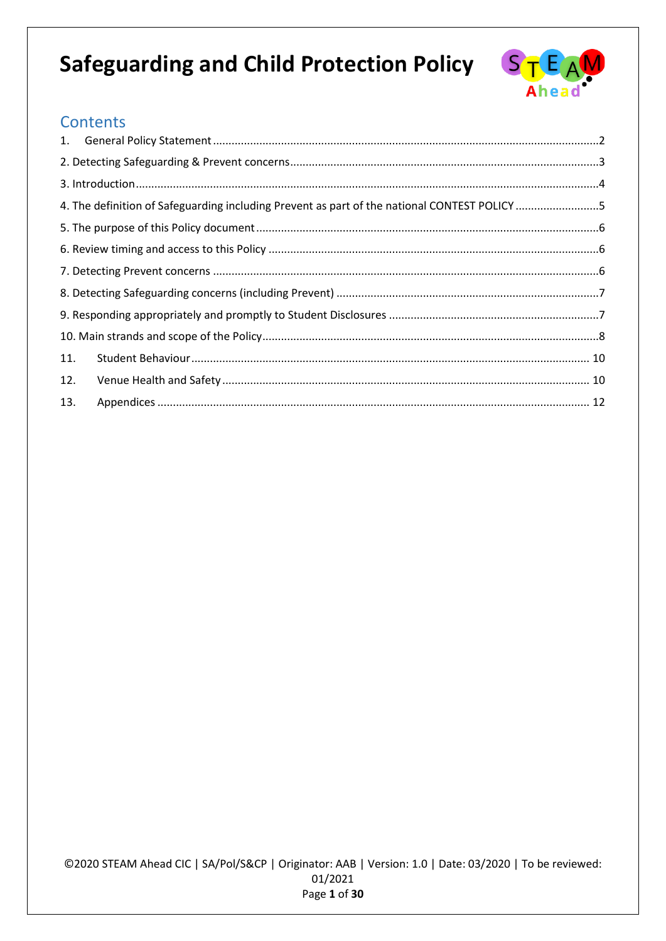

### **Contents**

| 4. The definition of Safeguarding including Prevent as part of the national CONTEST POLICY 5 |  |
|----------------------------------------------------------------------------------------------|--|
|                                                                                              |  |
|                                                                                              |  |
|                                                                                              |  |
|                                                                                              |  |
|                                                                                              |  |
|                                                                                              |  |
| 11.                                                                                          |  |
| 12.                                                                                          |  |
| 13.                                                                                          |  |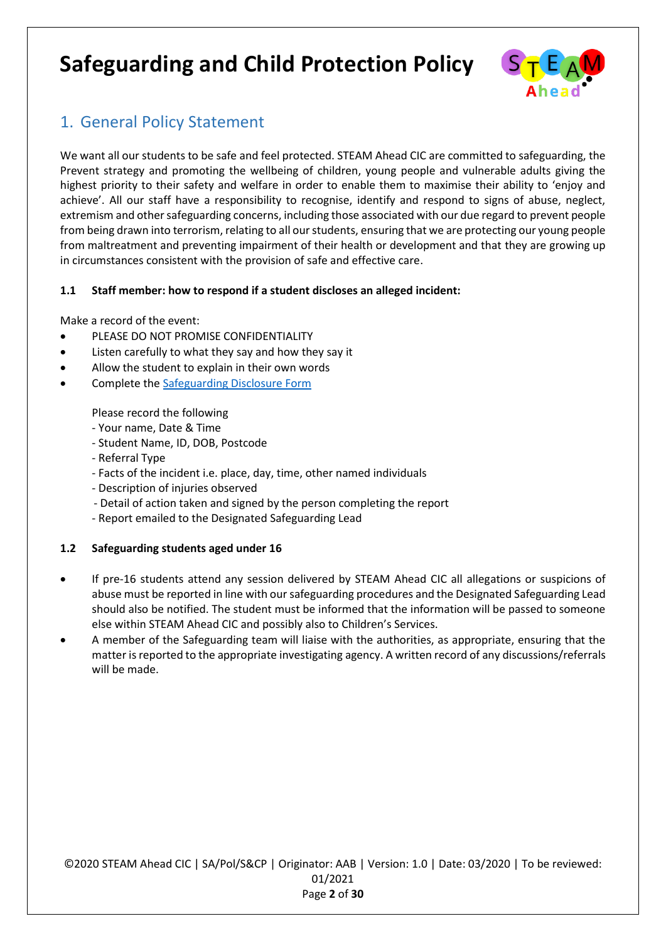

### <span id="page-1-0"></span>1. General Policy Statement

We want all our students to be safe and feel protected. STEAM Ahead CIC are committed to safeguarding, the Prevent strategy and promoting the wellbeing of children, young people and vulnerable adults giving the highest priority to their safety and welfare in order to enable them to maximise their ability to 'enjoy and achieve'. All our staff have a responsibility to recognise, identify and respond to signs of abuse, neglect, extremism and other safeguarding concerns, including those associated with our due regard to prevent people from being drawn into terrorism, relating to all our students, ensuring that we are protecting our young people from maltreatment and preventing impairment of their health or development and that they are growing up in circumstances consistent with the provision of safe and effective care.

#### **1.1 Staff member: how to respond if a student discloses an alleged incident:**

Make a record of the event:

- PLEASE DO NOT PROMISE CONFIDENTIALITY
- Listen carefully to what they say and how they say it
- Allow the student to explain in their own words
- Complete the Safeguarding Disclosure Form

Please record the following

- Your name, Date & Time
- Student Name, ID, DOB, Postcode
- Referral Type
- Facts of the incident i.e. place, day, time, other named individuals
- Description of injuries observed
- Detail of action taken and signed by the person completing the report
- Report emailed to the Designated Safeguarding Lead

#### **1.2 Safeguarding students aged under 16**

- If pre-16 students attend any session delivered by STEAM Ahead CIC all allegations or suspicions of abuse must be reported in line with our safeguarding procedures and the Designated Safeguarding Lead should also be notified. The student must be informed that the information will be passed to someone else within STEAM Ahead CIC and possibly also to Children's Services.
- A member of the Safeguarding team will liaise with the authorities, as appropriate, ensuring that the matter is reported to the appropriate investigating agency. A written record of any discussions/referrals will be made.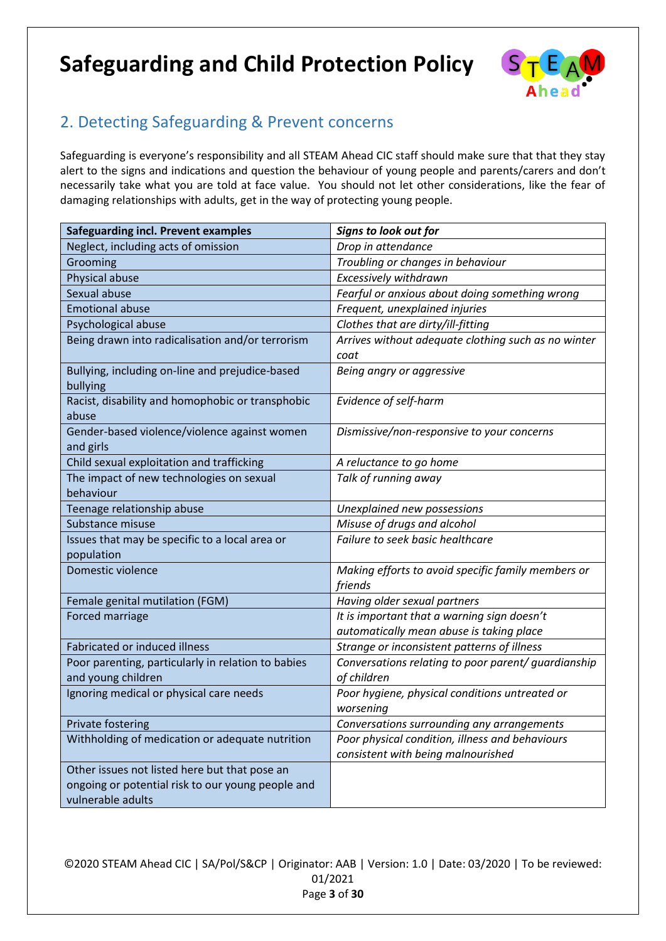

### <span id="page-2-0"></span>2. Detecting Safeguarding & Prevent concerns

Safeguarding is everyone's responsibility and all STEAM Ahead CIC staff should make sure that that they stay alert to the signs and indications and question the behaviour of young people and parents/carers and don't necessarily take what you are told at face value. You should not let other considerations, like the fear of damaging relationships with adults, get in the way of protecting young people.

| Safeguarding incl. Prevent examples                | Signs to look out for                                         |
|----------------------------------------------------|---------------------------------------------------------------|
| Neglect, including acts of omission                | Drop in attendance                                            |
| Grooming                                           | Troubling or changes in behaviour                             |
| Physical abuse                                     | Excessively withdrawn                                         |
| Sexual abuse                                       | Fearful or anxious about doing something wrong                |
| <b>Emotional abuse</b>                             | Frequent, unexplained injuries                                |
| Psychological abuse                                | Clothes that are dirty/ill-fitting                            |
| Being drawn into radicalisation and/or terrorism   | Arrives without adequate clothing such as no winter           |
|                                                    | coat                                                          |
| Bullying, including on-line and prejudice-based    | Being angry or aggressive                                     |
| bullying                                           |                                                               |
| Racist, disability and homophobic or transphobic   | Evidence of self-harm                                         |
| abuse                                              |                                                               |
| Gender-based violence/violence against women       | Dismissive/non-responsive to your concerns                    |
| and girls                                          |                                                               |
| Child sexual exploitation and trafficking          | A reluctance to go home                                       |
| The impact of new technologies on sexual           | Talk of running away                                          |
| behaviour                                          |                                                               |
| Teenage relationship abuse                         | Unexplained new possessions                                   |
| Substance misuse                                   | Misuse of drugs and alcohol                                   |
| Issues that may be specific to a local area or     | Failure to seek basic healthcare                              |
| population                                         |                                                               |
| Domestic violence                                  | Making efforts to avoid specific family members or<br>friends |
| Female genital mutilation (FGM)                    | Having older sexual partners                                  |
| Forced marriage                                    | It is important that a warning sign doesn't                   |
|                                                    | automatically mean abuse is taking place                      |
| <b>Fabricated or induced illness</b>               | Strange or inconsistent patterns of illness                   |
| Poor parenting, particularly in relation to babies | Conversations relating to poor parent/ guardianship           |
| and young children                                 | of children                                                   |
| Ignoring medical or physical care needs            | Poor hygiene, physical conditions untreated or                |
|                                                    | worsening                                                     |
| <b>Private fostering</b>                           | Conversations surrounding any arrangements                    |
| Withholding of medication or adequate nutrition    | Poor physical condition, illness and behaviours               |
|                                                    | consistent with being malnourished                            |
| Other issues not listed here but that pose an      |                                                               |
| ongoing or potential risk to our young people and  |                                                               |
| vulnerable adults                                  |                                                               |

©2020 STEAM Ahead CIC | SA/Pol/S&CP | Originator: AAB | Version: 1.0 | Date: 03/2020 | To be reviewed: 01/2021 Page **3** of **30**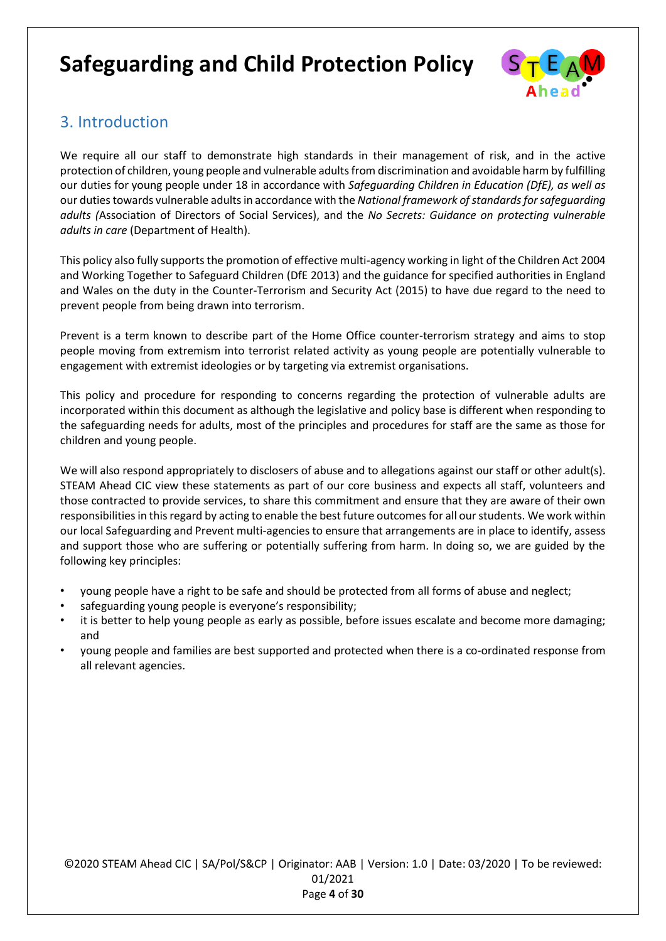

### <span id="page-3-0"></span>3. Introduction

We require all our staff to demonstrate high standards in their management of risk, and in the active protection of children, young people and vulnerable adults from discrimination and avoidable harm by fulfilling our duties for young people under 18 in accordance with *Safeguarding Children in Education (DfE), as well as*  our duties towards vulnerable adults in accordance with the *National framework of standards for safeguarding adults (*Association of Directors of Social Services), and the *No Secrets: Guidance on protecting vulnerable adults in care* (Department of Health).

This policy also fully supports the promotion of effective multi-agency working in light of the Children Act 2004 and Working Together to Safeguard Children (DfE 2013) and the guidance for specified authorities in England and Wales on the duty in the Counter-Terrorism and Security Act (2015) to have due regard to the need to prevent people from being drawn into terrorism.

Prevent is a term known to describe part of the Home Office counter-terrorism strategy and aims to stop people moving from extremism into terrorist related activity as young people are potentially vulnerable to engagement with extremist ideologies or by targeting via extremist organisations.

This policy and procedure for responding to concerns regarding the protection of vulnerable adults are incorporated within this document as although the legislative and policy base is different when responding to the safeguarding needs for adults, most of the principles and procedures for staff are the same as those for children and young people.

We will also respond appropriately to disclosers of abuse and to allegations against our staff or other adult(s). STEAM Ahead CIC view these statements as part of our core business and expects all staff, volunteers and those contracted to provide services, to share this commitment and ensure that they are aware of their own responsibilities in this regard by acting to enable the best future outcomes for all our students. We work within our local Safeguarding and Prevent multi-agencies to ensure that arrangements are in place to identify, assess and support those who are suffering or potentially suffering from harm. In doing so, we are guided by the following key principles:

- young people have a right to be safe and should be protected from all forms of abuse and neglect;
- safeguarding young people is everyone's responsibility;
- it is better to help young people as early as possible, before issues escalate and become more damaging; and
- young people and families are best supported and protected when there is a co-ordinated response from all relevant agencies.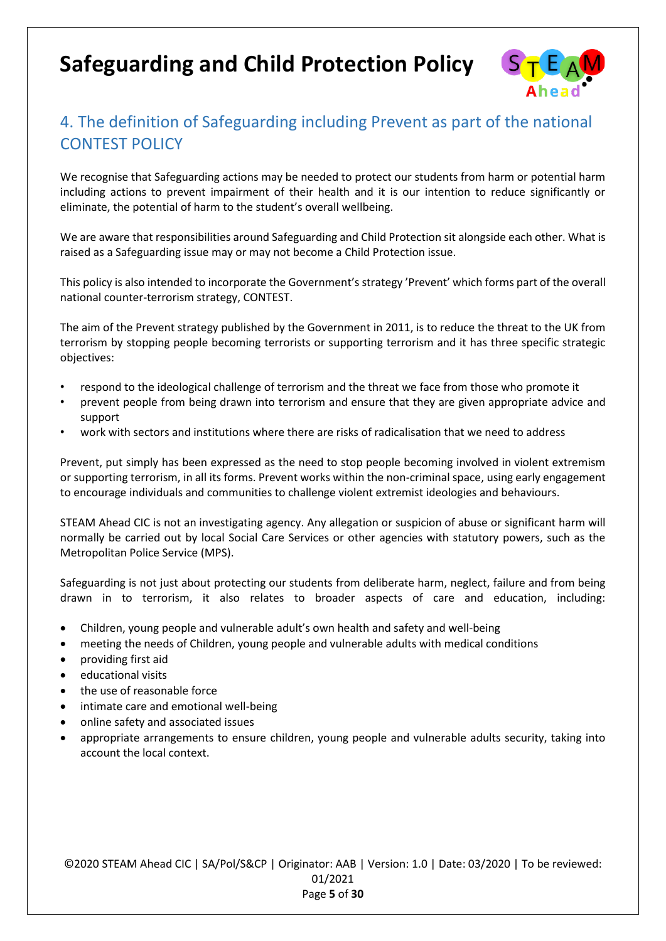

### <span id="page-4-0"></span>4. The definition of Safeguarding including Prevent as part of the national CONTEST POLICY

We recognise that Safeguarding actions may be needed to protect our students from harm or potential harm including actions to prevent impairment of their health and it is our intention to reduce significantly or eliminate, the potential of harm to the student's overall wellbeing.

We are aware that responsibilities around Safeguarding and Child Protection sit alongside each other. What is raised as a Safeguarding issue may or may not become a Child Protection issue.

This policy is also intended to incorporate the Government's strategy 'Prevent' which forms part of the overall national counter-terrorism strategy, CONTEST.

The aim of the Prevent strategy published by the Government in 2011, is to reduce the threat to the UK from terrorism by stopping people becoming terrorists or supporting terrorism and it has three specific strategic objectives:

- respond to the ideological challenge of terrorism and the threat we face from those who promote it
- prevent people from being drawn into terrorism and ensure that they are given appropriate advice and support
- work with sectors and institutions where there are risks of radicalisation that we need to address

Prevent, put simply has been expressed as the need to stop people becoming involved in violent extremism or supporting terrorism, in all its forms. Prevent works within the non-criminal space, using early engagement to encourage individuals and communities to challenge violent extremist ideologies and behaviours.

STEAM Ahead CIC is not an investigating agency. Any allegation or suspicion of abuse or significant harm will normally be carried out by local Social Care Services or other agencies with statutory powers, such as the Metropolitan Police Service (MPS).

Safeguarding is not just about protecting our students from deliberate harm, neglect, failure and from being drawn in to terrorism, it also relates to broader aspects of care and education, including:

- Children, young people and vulnerable adult's own health and safety and well-being
- meeting the needs of Children, young people and vulnerable adults with medical conditions
- providing first aid
- educational visits
- the use of reasonable force
- intimate care and emotional well-being
- online safety and associated issues
- appropriate arrangements to ensure children, young people and vulnerable adults security, taking into account the local context.

©2020 STEAM Ahead CIC | SA/Pol/S&CP | Originator: AAB | Version: 1.0 | Date: 03/2020 | To be reviewed: 01/2021 Page **5** of **30**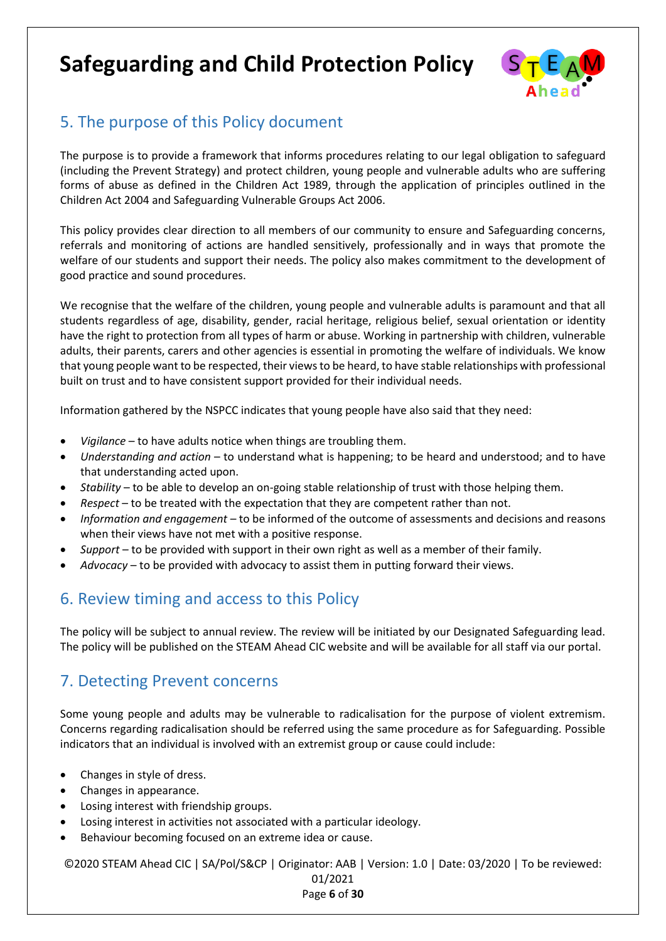

### <span id="page-5-0"></span>5. The purpose of this Policy document

The purpose is to provide a framework that informs procedures relating to our legal obligation to safeguard (including the Prevent Strategy) and protect children, young people and vulnerable adults who are suffering forms of abuse as defined in the Children Act 1989, through the application of principles outlined in the Children Act 2004 and Safeguarding Vulnerable Groups Act 2006.

This policy provides clear direction to all members of our community to ensure and Safeguarding concerns, referrals and monitoring of actions are handled sensitively, professionally and in ways that promote the welfare of our students and support their needs. The policy also makes commitment to the development of good practice and sound procedures.

We recognise that the welfare of the children, young people and vulnerable adults is paramount and that all students regardless of age, disability, gender, racial heritage, religious belief, sexual orientation or identity have the right to protection from all types of harm or abuse. Working in partnership with children, vulnerable adults, their parents, carers and other agencies is essential in promoting the welfare of individuals. We know that young people want to be respected, their views to be heard, to have stable relationships with professional built on trust and to have consistent support provided for their individual needs.

Information gathered by the NSPCC indicates that young people have also said that they need:

- *Vigilance* to have adults notice when things are troubling them.
- *Understanding and action* to understand what is happening; to be heard and understood; and to have that understanding acted upon.
- *Stability* to be able to develop an on-going stable relationship of trust with those helping them.
- *Respect*  to be treated with the expectation that they are competent rather than not.
- *Information and engagement* to be informed of the outcome of assessments and decisions and reasons when their views have not met with a positive response.
- *Support* to be provided with support in their own right as well as a member of their family.
- *Advocacy* to be provided with advocacy to assist them in putting forward their views.

### <span id="page-5-1"></span>6. Review timing and access to this Policy

The policy will be subject to annual review. The review will be initiated by our Designated Safeguarding lead. The policy will be published on the STEAM Ahead CIC website and will be available for all staff via our portal.

### <span id="page-5-2"></span>7. Detecting Prevent concerns

Some young people and adults may be vulnerable to radicalisation for the purpose of violent extremism. Concerns regarding radicalisation should be referred using the same procedure as for Safeguarding. Possible indicators that an individual is involved with an extremist group or cause could include:

- Changes in style of dress.
- Changes in appearance.
- Losing interest with friendship groups.
- Losing interest in activities not associated with a particular ideology.
- Behaviour becoming focused on an extreme idea or cause.

©2020 STEAM Ahead CIC | SA/Pol/S&CP | Originator: AAB | Version: 1.0 | Date: 03/2020 | To be reviewed: 01/2021

Page **6** of **30**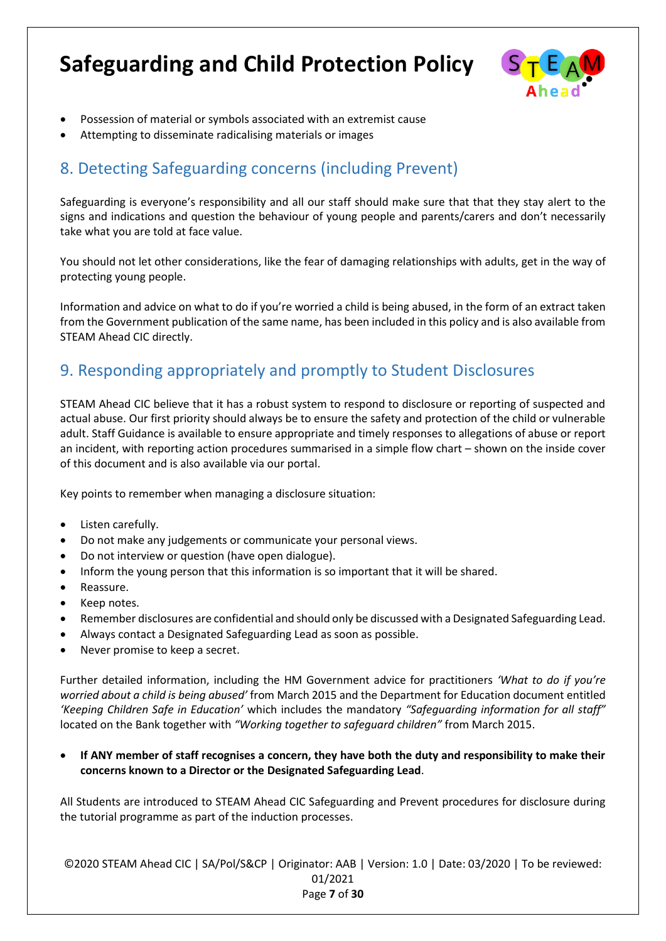

- Possession of material or symbols associated with an extremist cause
- Attempting to disseminate radicalising materials or images

### <span id="page-6-0"></span>8. Detecting Safeguarding concerns (including Prevent)

Safeguarding is everyone's responsibility and all our staff should make sure that that they stay alert to the signs and indications and question the behaviour of young people and parents/carers and don't necessarily take what you are told at face value.

You should not let other considerations, like the fear of damaging relationships with adults, get in the way of protecting young people.

Information and advice on what to do if you're worried a child is being abused, in the form of an extract taken from the Government publication of the same name, has been included in this policy and is also available from STEAM Ahead CIC directly.

### <span id="page-6-1"></span>9. Responding appropriately and promptly to Student Disclosures

STEAM Ahead CIC believe that it has a robust system to respond to disclosure or reporting of suspected and actual abuse. Our first priority should always be to ensure the safety and protection of the child or vulnerable adult. Staff Guidance is available to ensure appropriate and timely responses to allegations of abuse or report an incident, with reporting action procedures summarised in a simple flow chart – shown on the inside cover of this document and is also available via our portal.

Key points to remember when managing a disclosure situation:

- Listen carefully.
- Do not make any judgements or communicate your personal views.
- Do not interview or question (have open dialogue).
- Inform the young person that this information is so important that it will be shared.
- Reassure.
- Keep notes.
- Remember disclosures are confidential and should only be discussed with a Designated Safeguarding Lead.
- Always contact a Designated Safeguarding Lead as soon as possible.
- Never promise to keep a secret.

Further detailed information, including the HM Government advice for practitioners *'What to do if you're worried about a child is being abused'* from March 2015 and the Department for Education document entitled *'Keeping Children Safe in Education'* which includes the mandatory *"Safeguarding information for all staff"* located on the Bank together with *"Working together to safeguard children"* from March 2015.

• **If ANY member of staff recognises a concern, they have both the duty and responsibility to make their concerns known to a Director or the Designated Safeguarding Lead**.

All Students are introduced to STEAM Ahead CIC Safeguarding and Prevent procedures for disclosure during the tutorial programme as part of the induction processes.

©2020 STEAM Ahead CIC | SA/Pol/S&CP | Originator: AAB | Version: 1.0 | Date: 03/2020 | To be reviewed: 01/2021 Page **7** of **30**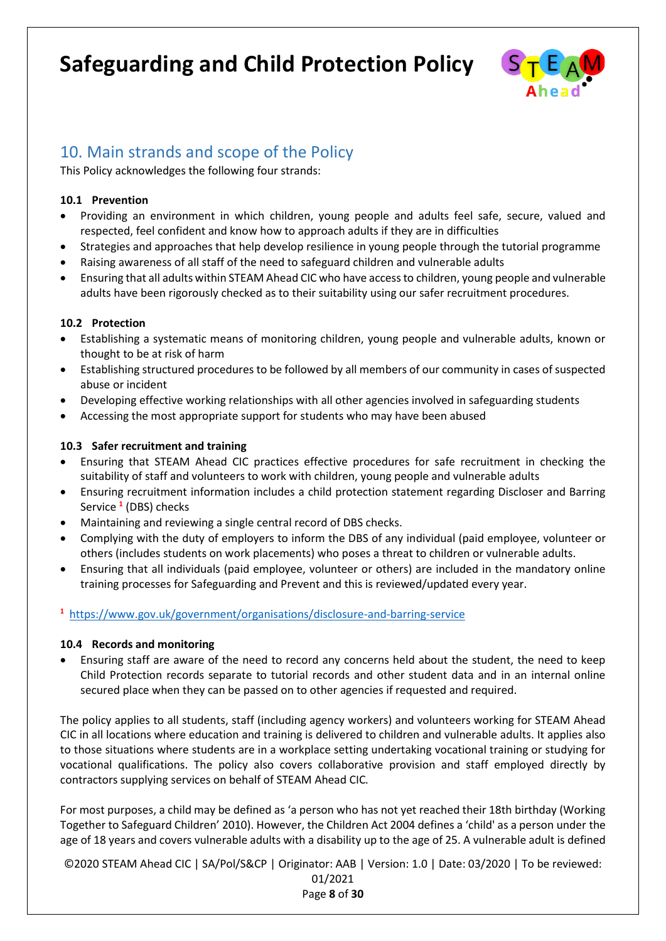

### <span id="page-7-0"></span>10. Main strands and scope of the Policy

This Policy acknowledges the following four strands:

#### **10.1 Prevention**

- Providing an environment in which children, young people and adults feel safe, secure, valued and respected, feel confident and know how to approach adults if they are in difficulties
- Strategies and approaches that help develop resilience in young people through the tutorial programme
- Raising awareness of all staff of the need to safeguard children and vulnerable adults
- Ensuring that all adults within STEAM Ahead CIC who have access to children, young people and vulnerable adults have been rigorously checked as to their suitability using our safer recruitment procedures.

#### **10.2 Protection**

- Establishing a systematic means of monitoring children, young people and vulnerable adults, known or thought to be at risk of harm
- Establishing structured procedures to be followed by all members of our community in cases of suspected abuse or incident
- Developing effective working relationships with all other agencies involved in safeguarding students
- Accessing the most appropriate support for students who may have been abused

#### **10.3 Safer recruitment and training**

- Ensuring that STEAM Ahead CIC practices effective procedures for safe recruitment in checking the suitability of staff and volunteers to work with children, young people and vulnerable adults
- Ensuring recruitment information includes a child protection statement regarding Discloser and Barring Service **<sup>1</sup>** (DBS) checks
- Maintaining and reviewing a single central record of DBS checks.
- Complying with the duty of employers to inform the DBS of any individual (paid employee, volunteer or others (includes students on work placements) who poses a threat to children or vulnerable adults.
- Ensuring that all individuals (paid employee, volunteer or others) are included in the mandatory online training processes for Safeguarding and Prevent and this is reviewed/updated every year.

#### **<sup>1</sup>**<https://www.gov.uk/government/organisations/disclosure-and-barring-service>

#### **10.4 Records and monitoring**

• Ensuring staff are aware of the need to record any concerns held about the student, the need to keep Child Protection records separate to tutorial records and other student data and in an internal online secured place when they can be passed on to other agencies if requested and required.

The policy applies to all students, staff (including agency workers) and volunteers working for STEAM Ahead CIC in all locations where education and training is delivered to children and vulnerable adults. It applies also to those situations where students are in a workplace setting undertaking vocational training or studying for vocational qualifications. The policy also covers collaborative provision and staff employed directly by contractors supplying services on behalf of STEAM Ahead CIC*.*

For most purposes, a child may be defined as 'a person who has not yet reached their 18th birthday (Working Together to Safeguard Children' 2010). However, the Children Act 2004 defines a 'child' as a person under the age of 18 years and covers vulnerable adults with a disability up to the age of 25. A vulnerable adult is defined

©2020 STEAM Ahead CIC | SA/Pol/S&CP | Originator: AAB | Version: 1.0 | Date: 03/2020 | To be reviewed: 01/2021

Page **8** of **30**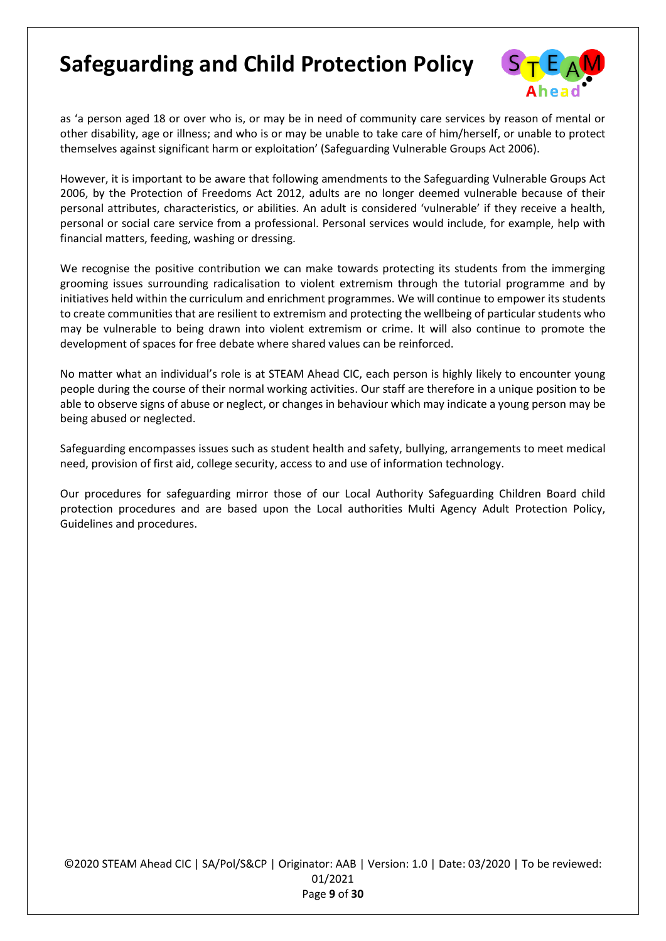

as 'a person aged 18 or over who is, or may be in need of community care services by reason of mental or other disability, age or illness; and who is or may be unable to take care of him/herself, or unable to protect themselves against significant harm or exploitation' (Safeguarding Vulnerable Groups Act 2006).

However, it is important to be aware that following amendments to the Safeguarding Vulnerable Groups Act 2006, by the Protection of Freedoms Act 2012, adults are no longer deemed vulnerable because of their personal attributes, characteristics, or abilities. An adult is considered 'vulnerable' if they receive a health, personal or social care service from a professional. Personal services would include, for example, help with financial matters, feeding, washing or dressing.

We recognise the positive contribution we can make towards protecting its students from the immerging grooming issues surrounding radicalisation to violent extremism through the tutorial programme and by initiatives held within the curriculum and enrichment programmes. We will continue to empower its students to create communities that are resilient to extremism and protecting the wellbeing of particular students who may be vulnerable to being drawn into violent extremism or crime. It will also continue to promote the development of spaces for free debate where shared values can be reinforced.

No matter what an individual's role is at STEAM Ahead CIC, each person is highly likely to encounter young people during the course of their normal working activities. Our staff are therefore in a unique position to be able to observe signs of abuse or neglect, or changes in behaviour which may indicate a young person may be being abused or neglected.

Safeguarding encompasses issues such as student health and safety, bullying, arrangements to meet medical need, provision of first aid, college security, access to and use of information technology.

Our procedures for safeguarding mirror those of our Local Authority Safeguarding Children Board child protection procedures and are based upon the Local authorities Multi Agency Adult Protection Policy, Guidelines and procedures.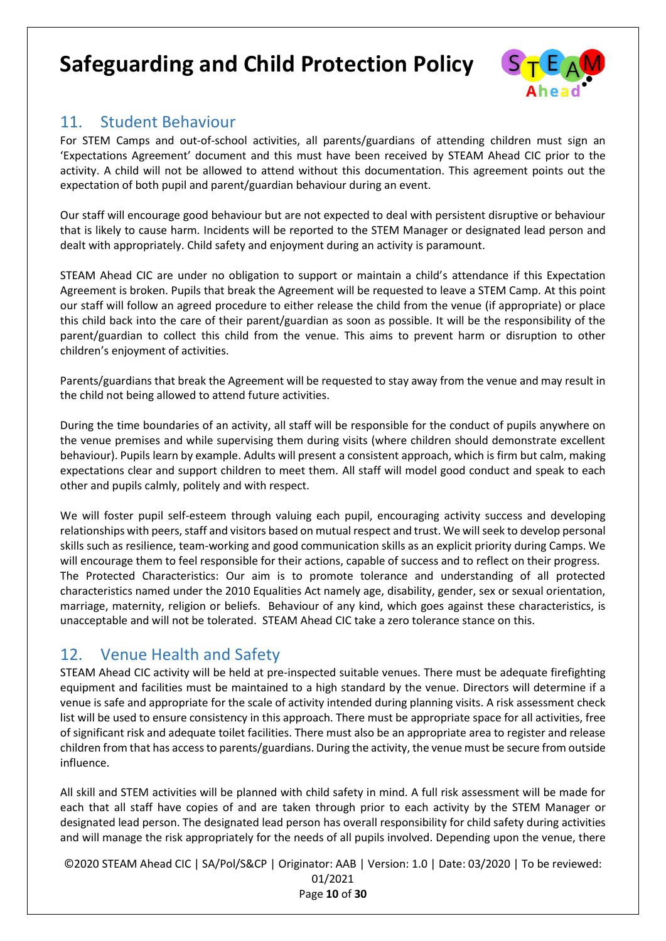

### <span id="page-9-0"></span>11. Student Behaviour

For STEM Camps and out-of-school activities, all parents/guardians of attending children must sign an 'Expectations Agreement' document and this must have been received by STEAM Ahead CIC prior to the activity. A child will not be allowed to attend without this documentation. This agreement points out the expectation of both pupil and parent/guardian behaviour during an event.

Our staff will encourage good behaviour but are not expected to deal with persistent disruptive or behaviour that is likely to cause harm. Incidents will be reported to the STEM Manager or designated lead person and dealt with appropriately. Child safety and enjoyment during an activity is paramount.

STEAM Ahead CIC are under no obligation to support or maintain a child's attendance if this Expectation Agreement is broken. Pupils that break the Agreement will be requested to leave a STEM Camp. At this point our staff will follow an agreed procedure to either release the child from the venue (if appropriate) or place this child back into the care of their parent/guardian as soon as possible. It will be the responsibility of the parent/guardian to collect this child from the venue. This aims to prevent harm or disruption to other children's enjoyment of activities.

Parents/guardians that break the Agreement will be requested to stay away from the venue and may result in the child not being allowed to attend future activities.

During the time boundaries of an activity, all staff will be responsible for the conduct of pupils anywhere on the venue premises and while supervising them during visits (where children should demonstrate excellent behaviour). Pupils learn by example. Adults will present a consistent approach, which is firm but calm, making expectations clear and support children to meet them. All staff will model good conduct and speak to each other and pupils calmly, politely and with respect.

We will foster pupil self-esteem through valuing each pupil, encouraging activity success and developing relationships with peers, staff and visitors based on mutual respect and trust. We will seek to develop personal skills such as resilience, team-working and good communication skills as an explicit priority during Camps. We will encourage them to feel responsible for their actions, capable of success and to reflect on their progress. The Protected Characteristics: Our aim is to promote tolerance and understanding of all protected characteristics named under the 2010 Equalities Act namely age, disability, gender, sex or sexual orientation, marriage, maternity, religion or beliefs. Behaviour of any kind, which goes against these characteristics, is unacceptable and will not be tolerated. STEAM Ahead CIC take a zero tolerance stance on this.

### <span id="page-9-1"></span>12. Venue Health and Safety

STEAM Ahead CIC activity will be held at pre-inspected suitable venues. There must be adequate firefighting equipment and facilities must be maintained to a high standard by the venue. Directors will determine if a venue is safe and appropriate for the scale of activity intended during planning visits. A risk assessment check list will be used to ensure consistency in this approach. There must be appropriate space for all activities, free of significant risk and adequate toilet facilities. There must also be an appropriate area to register and release children from that has access to parents/guardians. During the activity, the venue must be secure from outside influence.

All skill and STEM activities will be planned with child safety in mind. A full risk assessment will be made for each that all staff have copies of and are taken through prior to each activity by the STEM Manager or designated lead person. The designated lead person has overall responsibility for child safety during activities and will manage the risk appropriately for the needs of all pupils involved. Depending upon the venue, there

©2020 STEAM Ahead CIC | SA/Pol/S&CP | Originator: AAB | Version: 1.0 | Date: 03/2020 | To be reviewed: 01/2021

Page **10** of **30**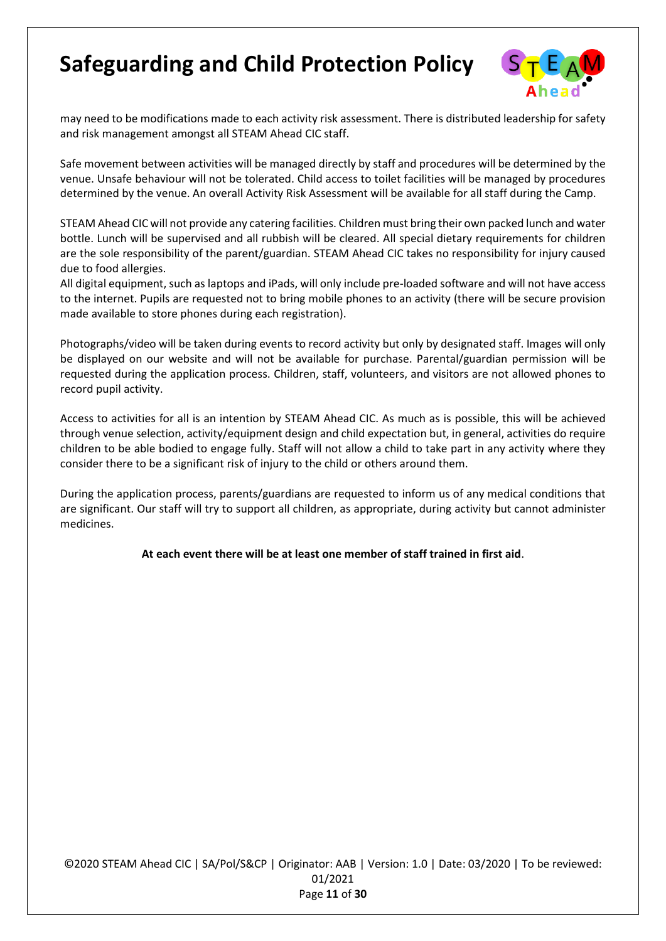

may need to be modifications made to each activity risk assessment. There is distributed leadership for safety and risk management amongst all STEAM Ahead CIC staff.

Safe movement between activities will be managed directly by staff and procedures will be determined by the venue. Unsafe behaviour will not be tolerated. Child access to toilet facilities will be managed by procedures determined by the venue. An overall Activity Risk Assessment will be available for all staff during the Camp.

STEAM Ahead CIC will not provide any catering facilities. Children must bring their own packed lunch and water bottle. Lunch will be supervised and all rubbish will be cleared. All special dietary requirements for children are the sole responsibility of the parent/guardian. STEAM Ahead CIC takes no responsibility for injury caused due to food allergies.

All digital equipment, such as laptops and iPads, will only include pre-loaded software and will not have access to the internet. Pupils are requested not to bring mobile phones to an activity (there will be secure provision made available to store phones during each registration).

Photographs/video will be taken during events to record activity but only by designated staff. Images will only be displayed on our website and will not be available for purchase. Parental/guardian permission will be requested during the application process. Children, staff, volunteers, and visitors are not allowed phones to record pupil activity.

Access to activities for all is an intention by STEAM Ahead CIC. As much as is possible, this will be achieved through venue selection, activity/equipment design and child expectation but, in general, activities do require children to be able bodied to engage fully. Staff will not allow a child to take part in any activity where they consider there to be a significant risk of injury to the child or others around them.

During the application process, parents/guardians are requested to inform us of any medical conditions that are significant. Our staff will try to support all children, as appropriate, during activity but cannot administer medicines.

**At each event there will be at least one member of staff trained in first aid**.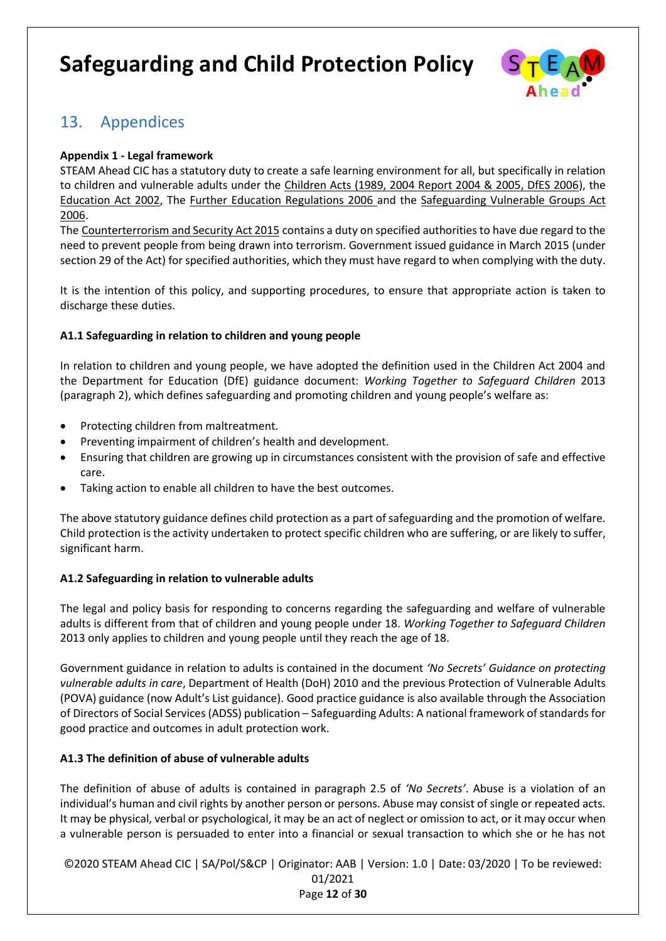

### <span id="page-11-0"></span>13. Appendices

#### **Appendix 1 - Legal framework**

STEAM Ahead CIC has a statutory duty to create a safe learning environment for all, but specifically in relation to children and vulnerable adults under the Children Acts (1989, 2004 Report 2004 & 2005, DfES 2006), the Education Act 2002, The Further Education Regulations 2006 and the Safeguarding Vulnerable Groups Act 2006.

The Counterterrorism [and Security Act 2015](http://www.legislation.gov.uk/ukpga/2015/6/contents/enacted) contains a duty on specified authorities to have due regard to the need to prevent people from being drawn into terrorism. Government issued guidance in March 2015 (under section 29 of the Act) for specified authorities, which they must have regard to when complying with the duty.

It is the intention of this policy, and supporting procedures, to ensure that appropriate action is taken to discharge these duties.

#### **A1.1 Safeguarding in relation to children and young people**

In relation to children and young people, we have adopted the definition used in the Children Act 2004 and the Department for Education (DfE) guidance document: *Working Together to Safeguard Children* 2013 (paragraph 2), which defines safeguarding and promoting children and young people's welfare as:

- Protecting children from maltreatment.
- Preventing impairment of children's health and development.
- Ensuring that children are growing up in circumstances consistent with the provision of safe and effective care.
- Taking action to enable all children to have the best outcomes.

The above statutory guidance defines child protection as a part of safeguarding and the promotion of welfare. Child protection is the activity undertaken to protect specific children who are suffering, or are likely to suffer, significant harm.

#### **A1.2 Safeguarding in relation to vulnerable adults**

The legal and policy basis for responding to concerns regarding the safeguarding and welfare of vulnerable adults is different from that of children and young people under 18. *Working Together to Safeguard Children* 2013 only applies to children and young people until they reach the age of 18.

Government guidance in relation to adults is contained in the document *'No Secrets' Guidance on protecting vulnerable adults in care*, Department of Health (DoH) 2010 and the previous Protection of Vulnerable Adults (POVA) guidance (now Adult's List guidance). Good practice guidance is also available through the Association of Directors of Social Services (ADSS) publication – Safeguarding Adults: A national framework of standards for good practice and outcomes in adult protection work.

#### **A1.3 The definition of abuse of vulnerable adults**

The definition of abuse of adults is contained in paragraph 2.5 of *'No Secrets'*. Abuse is a violation of an individual's human and civil rights by another person or persons. Abuse may consist of single or repeated acts. It may be physical, verbal or psychological, it may be an act of neglect or omission to act, or it may occur when a vulnerable person is persuaded to enter into a financial or sexual transaction to which she or he has not

©2020 STEAM Ahead CIC | SA/Pol/S&CP | Originator: AAB | Version: 1.0 | Date: 03/2020 | To be reviewed: 01/2021 Page **12** of **30**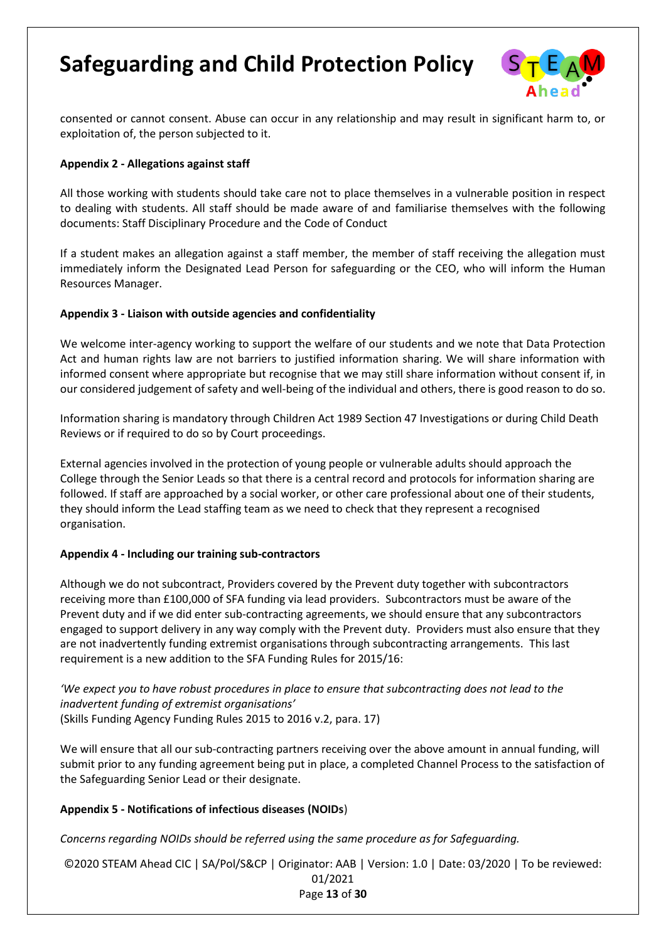

consented or cannot consent. Abuse can occur in any relationship and may result in significant harm to, or exploitation of, the person subjected to it.

#### **Appendix 2 - Allegations against staff**

All those working with students should take care not to place themselves in a vulnerable position in respect to dealing with students. All staff should be made aware of and familiarise themselves with the following documents: Staff Disciplinary Procedure and the Code of Conduct

If a student makes an allegation against a staff member, the member of staff receiving the allegation must immediately inform the Designated Lead Person for safeguarding or the CEO, who will inform the Human Resources Manager.

#### **Appendix 3 - Liaison with outside agencies and confidentiality**

We welcome inter-agency working to support the welfare of our students and we note that Data Protection Act and human rights law are not barriers to justified information sharing. We will share information with informed consent where appropriate but recognise that we may still share information without consent if, in our considered judgement of safety and well-being of the individual and others, there is good reason to do so.

Information sharing is mandatory through Children Act 1989 Section 47 Investigations or during Child Death Reviews or if required to do so by Court proceedings.

External agencies involved in the protection of young people or vulnerable adults should approach the College through the Senior Leads so that there is a central record and protocols for information sharing are followed. If staff are approached by a social worker, or other care professional about one of their students, they should inform the Lead staffing team as we need to check that they represent a recognised organisation.

#### **Appendix 4 - Including our training sub-contractors**

Although we do not subcontract, Providers covered by the Prevent duty together with subcontractors receiving more than £100,000 of SFA funding via lead providers. Subcontractors must be aware of the Prevent duty and if we did enter sub-contracting agreements, we should ensure that any subcontractors engaged to support delivery in any way comply with the Prevent duty. Providers must also ensure that they are not inadvertently funding extremist organisations through subcontracting arrangements. This last requirement is a new addition to the SFA Funding Rules for 2015/16:

*'We expect you to have robust procedures in place to ensure that subcontracting does not lead to the inadvertent funding of extremist organisations'* (Skills Funding Agency Funding Rules 2015 to 2016 v.2, para. 17)

We will ensure that all our sub-contracting partners receiving over the above amount in annual funding, will submit prior to any funding agreement being put in place, a completed Channel Process to the satisfaction of the Safeguarding Senior Lead or their designate.

#### **Appendix 5 - Notifications of infectious diseases (NOIDs**)

*Concerns regarding NOIDs should be referred using the same procedure as for Safeguarding.* 

©2020 STEAM Ahead CIC | SA/Pol/S&CP | Originator: AAB | Version: 1.0 | Date: 03/2020 | To be reviewed: 01/2021

Page **13** of **30**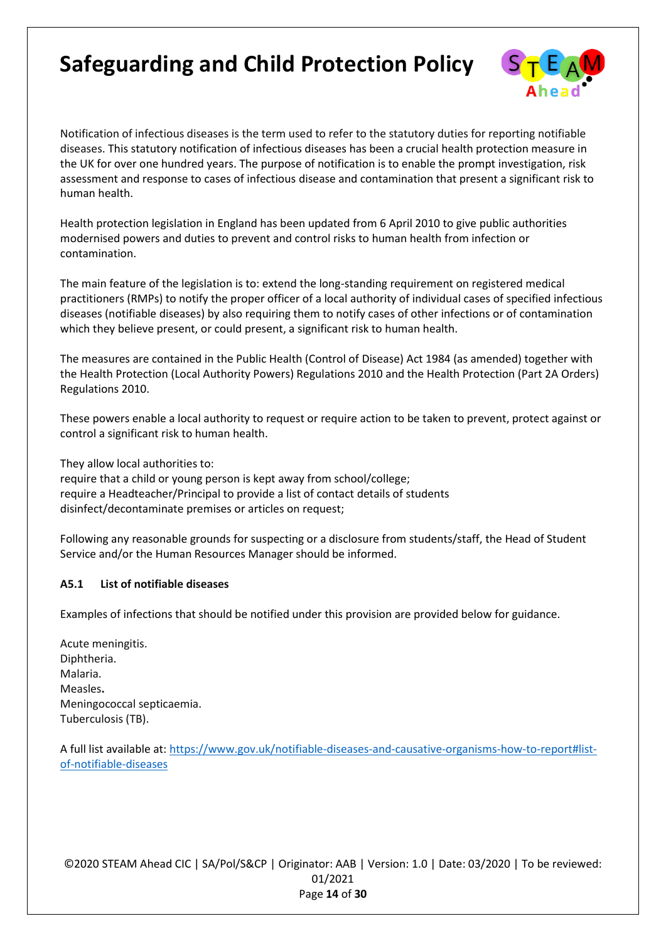

Notification of infectious diseases is the term used to refer to the statutory duties for reporting notifiable diseases. This statutory notification of infectious diseases has been a crucial health protection measure in the UK for over one hundred years. The purpose of notification is to enable the prompt investigation, risk assessment and response to cases of infectious disease and contamination that present a significant risk to human health.

Health protection legislation in England has been updated from 6 April 2010 to give public authorities modernised powers and duties to prevent and control risks to human health from infection or contamination.

The main feature of the legislation is to: extend the long-standing requirement on registered medical practitioners (RMPs) to notify the proper officer of a local authority of individual cases of specified infectious diseases (notifiable diseases) by also requiring them to notify cases of other infections or of contamination which they believe present, or could present, a significant risk to human health.

The measures are contained in the Public Health (Control of Disease) Act 1984 (as amended) together with the Health Protection (Local Authority Powers) Regulations 2010 and the Health Protection (Part 2A Orders) Regulations 2010.

These powers enable a local authority to request or require action to be taken to prevent, protect against or control a significant risk to human health.

They allow local authorities to:

require that a child or young person is kept away from school/college; require a Headteacher/Principal to provide a list of contact details of students disinfect/decontaminate premises or articles on request;

Following any reasonable grounds for suspecting or a disclosure from students/staff, the Head of Student Service and/or the Human Resources Manager should be informed.

#### **A5.1 List of notifiable diseases**

Examples of infections that should be notified under this provision are provided below for guidance.

Acute meningitis. Diphtheria. Malaria. Measles**.** Meningococcal septicaemia. Tuberculosis (TB).

A full list available at: [https://www.gov.uk/notifiable-diseases-and-causative-organisms-how-to-report#list](https://www.gov.uk/notifiable-diseases-and-causative-organisms-how-to-report#list-of-notifiable-diseases)[of-notifiable-diseases](https://www.gov.uk/notifiable-diseases-and-causative-organisms-how-to-report#list-of-notifiable-diseases)

©2020 STEAM Ahead CIC | SA/Pol/S&CP | Originator: AAB | Version: 1.0 | Date: 03/2020 | To be reviewed: 01/2021 Page **14** of **30**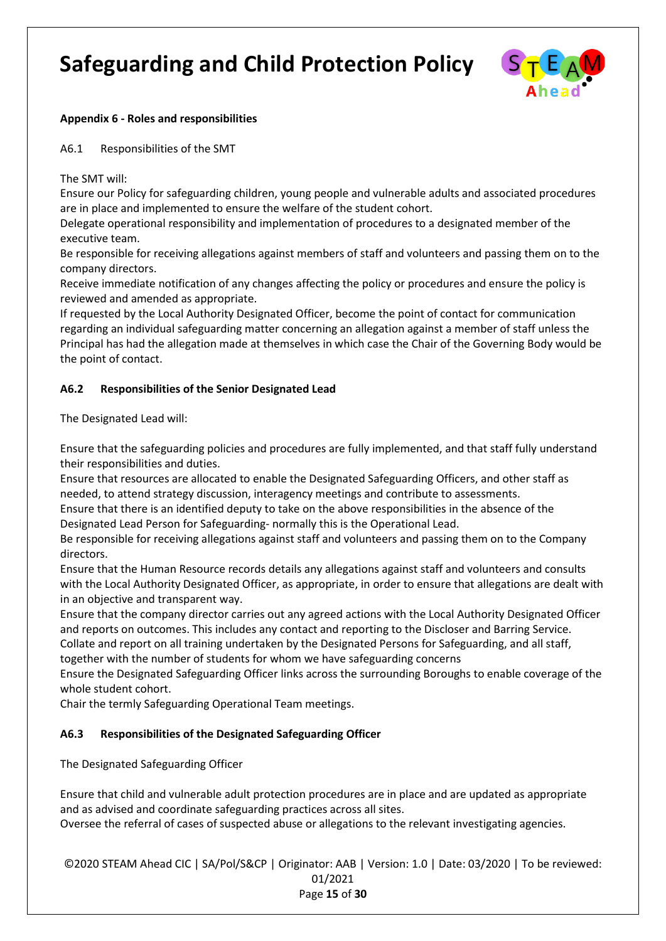

#### **Appendix 6 - Roles and responsibilities**

A6.1 Responsibilities of the SMT

The SMT will:

Ensure our Policy for safeguarding children, young people and vulnerable adults and associated procedures are in place and implemented to ensure the welfare of the student cohort.

Delegate operational responsibility and implementation of procedures to a designated member of the executive team.

Be responsible for receiving allegations against members of staff and volunteers and passing them on to the company directors.

Receive immediate notification of any changes affecting the policy or procedures and ensure the policy is reviewed and amended as appropriate.

If requested by the Local Authority Designated Officer, become the point of contact for communication regarding an individual safeguarding matter concerning an allegation against a member of staff unless the Principal has had the allegation made at themselves in which case the Chair of the Governing Body would be the point of contact.

#### **A6.2 Responsibilities of the Senior Designated Lead**

The Designated Lead will:

Ensure that the safeguarding policies and procedures are fully implemented, and that staff fully understand their responsibilities and duties.

Ensure that resources are allocated to enable the Designated Safeguarding Officers, and other staff as needed, to attend strategy discussion, interagency meetings and contribute to assessments.

Ensure that there is an identified deputy to take on the above responsibilities in the absence of the Designated Lead Person for Safeguarding- normally this is the Operational Lead.

Be responsible for receiving allegations against staff and volunteers and passing them on to the Company directors.

Ensure that the Human Resource records details any allegations against staff and volunteers and consults with the Local Authority Designated Officer, as appropriate, in order to ensure that allegations are dealt with in an objective and transparent way.

Ensure that the company director carries out any agreed actions with the Local Authority Designated Officer and reports on outcomes. This includes any contact and reporting to the Discloser and Barring Service. Collate and report on all training undertaken by the Designated Persons for Safeguarding, and all staff,

together with the number of students for whom we have safeguarding concerns

Ensure the Designated Safeguarding Officer links across the surrounding Boroughs to enable coverage of the whole student cohort.

Chair the termly Safeguarding Operational Team meetings.

#### **A6.3 Responsibilities of the Designated Safeguarding Officer**

The Designated Safeguarding Officer

Ensure that child and vulnerable adult protection procedures are in place and are updated as appropriate and as advised and coordinate safeguarding practices across all sites. Oversee the referral of cases of suspected abuse or allegations to the relevant investigating agencies.

©2020 STEAM Ahead CIC | SA/Pol/S&CP | Originator: AAB | Version: 1.0 | Date: 03/2020 | To be reviewed: 01/2021 Page **15** of **30**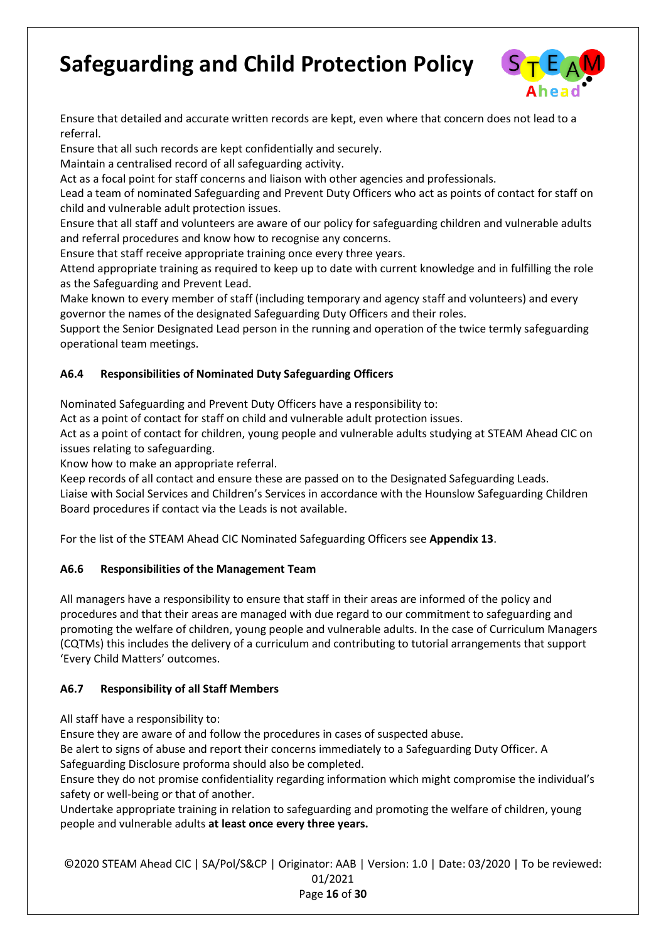

Ensure that detailed and accurate written records are kept, even where that concern does not lead to a referral.

Ensure that all such records are kept confidentially and securely.

Maintain a centralised record of all safeguarding activity.

Act as a focal point for staff concerns and liaison with other agencies and professionals.

Lead a team of nominated Safeguarding and Prevent Duty Officers who act as points of contact for staff on child and vulnerable adult protection issues.

Ensure that all staff and volunteers are aware of our policy for safeguarding children and vulnerable adults and referral procedures and know how to recognise any concerns.

Ensure that staff receive appropriate training once every three years.

Attend appropriate training as required to keep up to date with current knowledge and in fulfilling the role as the Safeguarding and Prevent Lead.

Make known to every member of staff (including temporary and agency staff and volunteers) and every governor the names of the designated Safeguarding Duty Officers and their roles.

Support the Senior Designated Lead person in the running and operation of the twice termly safeguarding operational team meetings.

#### **A6.4 Responsibilities of Nominated Duty Safeguarding Officers**

Nominated Safeguarding and Prevent Duty Officers have a responsibility to:

Act as a point of contact for staff on child and vulnerable adult protection issues.

Act as a point of contact for children, young people and vulnerable adults studying at STEAM Ahead CIC on issues relating to safeguarding.

Know how to make an appropriate referral.

Keep records of all contact and ensure these are passed on to the Designated Safeguarding Leads. Liaise with Social Services and Children's Services in accordance with the Hounslow Safeguarding Children Board procedures if contact via the Leads is not available.

For the list of the STEAM Ahead CIC Nominated Safeguarding Officers see **Appendix 13**.

#### **A6.6 Responsibilities of the Management Team**

All managers have a responsibility to ensure that staff in their areas are informed of the policy and procedures and that their areas are managed with due regard to our commitment to safeguarding and promoting the welfare of children, young people and vulnerable adults. In the case of Curriculum Managers (CQTMs) this includes the delivery of a curriculum and contributing to tutorial arrangements that support 'Every Child Matters' outcomes.

#### **A6.7 Responsibility of all Staff Members**

All staff have a responsibility to:

Ensure they are aware of and follow the procedures in cases of suspected abuse.

Be alert to signs of abuse and report their concerns immediately to a Safeguarding Duty Officer. A Safeguarding Disclosure proforma should also be completed.

Ensure they do not promise confidentiality regarding information which might compromise the individual's safety or well-being or that of another.

Undertake appropriate training in relation to safeguarding and promoting the welfare of children, young people and vulnerable adults **at least once every three years.**

©2020 STEAM Ahead CIC | SA/Pol/S&CP | Originator: AAB | Version: 1.0 | Date: 03/2020 | To be reviewed: 01/2021 Page **16** of **30**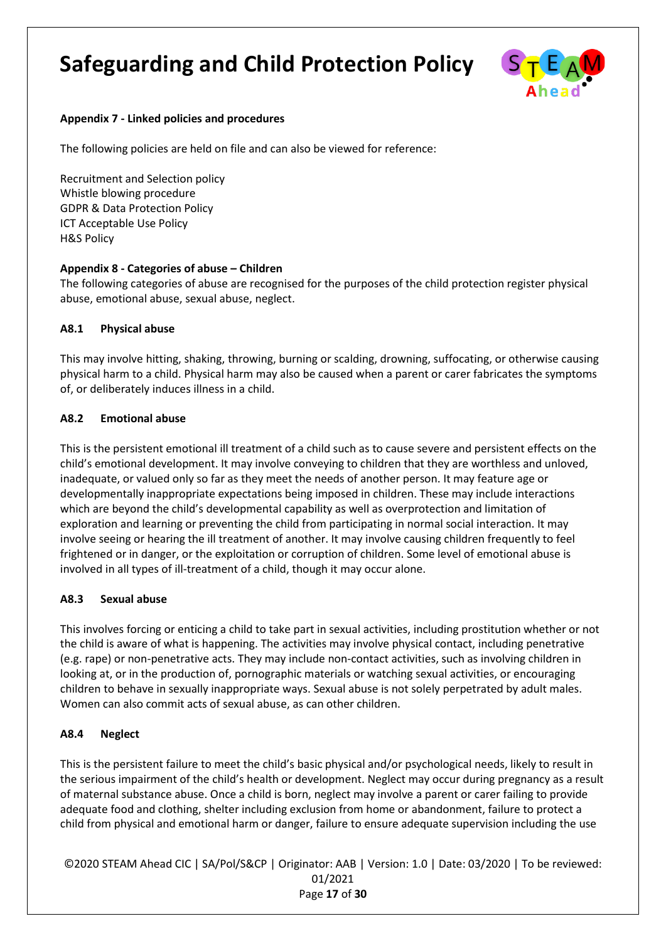

#### **Appendix 7 - Linked policies and procedures**

The following policies are held on file and can also be viewed for reference:

Recruitment and Selection policy Whistle blowing procedure GDPR & Data Protection Policy ICT Acceptable Use Policy H&S Policy

#### **Appendix 8 - Categories of abuse – Children**

The following categories of abuse are recognised for the purposes of the child protection register physical abuse, emotional abuse, sexual abuse, neglect.

#### **A8.1 Physical abuse**

This may involve hitting, shaking, throwing, burning or scalding, drowning, suffocating, or otherwise causing physical harm to a child. Physical harm may also be caused when a parent or carer fabricates the symptoms of, or deliberately induces illness in a child.

#### **A8.2 Emotional abuse**

This is the persistent emotional ill treatment of a child such as to cause severe and persistent effects on the child's emotional development. It may involve conveying to children that they are worthless and unloved, inadequate, or valued only so far as they meet the needs of another person. It may feature age or developmentally inappropriate expectations being imposed in children. These may include interactions which are beyond the child's developmental capability as well as overprotection and limitation of exploration and learning or preventing the child from participating in normal social interaction. It may involve seeing or hearing the ill treatment of another. It may involve causing children frequently to feel frightened or in danger, or the exploitation or corruption of children. Some level of emotional abuse is involved in all types of ill-treatment of a child, though it may occur alone.

#### **A8.3 Sexual abuse**

This involves forcing or enticing a child to take part in sexual activities, including prostitution whether or not the child is aware of what is happening. The activities may involve physical contact, including penetrative (e.g. rape) or non-penetrative acts. They may include non-contact activities, such as involving children in looking at, or in the production of, pornographic materials or watching sexual activities, or encouraging children to behave in sexually inappropriate ways. Sexual abuse is not solely perpetrated by adult males. Women can also commit acts of sexual abuse, as can other children.

#### **A8.4 Neglect**

This is the persistent failure to meet the child's basic physical and/or psychological needs, likely to result in the serious impairment of the child's health or development. Neglect may occur during pregnancy as a result of maternal substance abuse. Once a child is born, neglect may involve a parent or carer failing to provide adequate food and clothing, shelter including exclusion from home or abandonment, failure to protect a child from physical and emotional harm or danger, failure to ensure adequate supervision including the use

©2020 STEAM Ahead CIC | SA/Pol/S&CP | Originator: AAB | Version: 1.0 | Date: 03/2020 | To be reviewed: 01/2021 Page **17** of **30**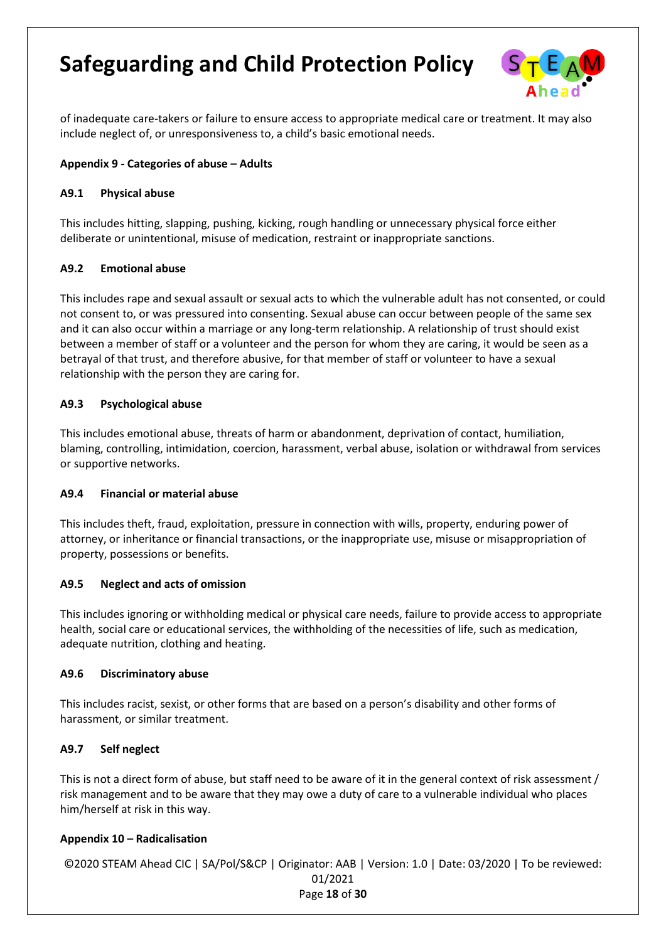

of inadequate care-takers or failure to ensure access to appropriate medical care or treatment. It may also include neglect of, or unresponsiveness to, a child's basic emotional needs.

#### **Appendix 9 - Categories of abuse – Adults**

#### **A9.1 Physical abuse**

This includes hitting, slapping, pushing, kicking, rough handling or unnecessary physical force either deliberate or unintentional, misuse of medication, restraint or inappropriate sanctions.

#### **A9.2 Emotional abuse**

This includes rape and sexual assault or sexual acts to which the vulnerable adult has not consented, or could not consent to, or was pressured into consenting. Sexual abuse can occur between people of the same sex and it can also occur within a marriage or any long-term relationship. A relationship of trust should exist between a member of staff or a volunteer and the person for whom they are caring, it would be seen as a betrayal of that trust, and therefore abusive, for that member of staff or volunteer to have a sexual relationship with the person they are caring for.

#### **A9.3 Psychological abuse**

This includes emotional abuse, threats of harm or abandonment, deprivation of contact, humiliation, blaming, controlling, intimidation, coercion, harassment, verbal abuse, isolation or withdrawal from services or supportive networks.

#### **A9.4 Financial or material abuse**

This includes theft, fraud, exploitation, pressure in connection with wills, property, enduring power of attorney, or inheritance or financial transactions, or the inappropriate use, misuse or misappropriation of property, possessions or benefits.

#### **A9.5 Neglect and acts of omission**

This includes ignoring or withholding medical or physical care needs, failure to provide access to appropriate health, social care or educational services, the withholding of the necessities of life, such as medication, adequate nutrition, clothing and heating.

#### **A9.6 Discriminatory abuse**

This includes racist, sexist, or other forms that are based on a person's disability and other forms of harassment, or similar treatment.

#### **A9.7 Self neglect**

This is not a direct form of abuse, but staff need to be aware of it in the general context of risk assessment / risk management and to be aware that they may owe a duty of care to a vulnerable individual who places him/herself at risk in this way.

#### **Appendix 10 – Radicalisation**

©2020 STEAM Ahead CIC | SA/Pol/S&CP | Originator: AAB | Version: 1.0 | Date: 03/2020 | To be reviewed: 01/2021 Page **18** of **30**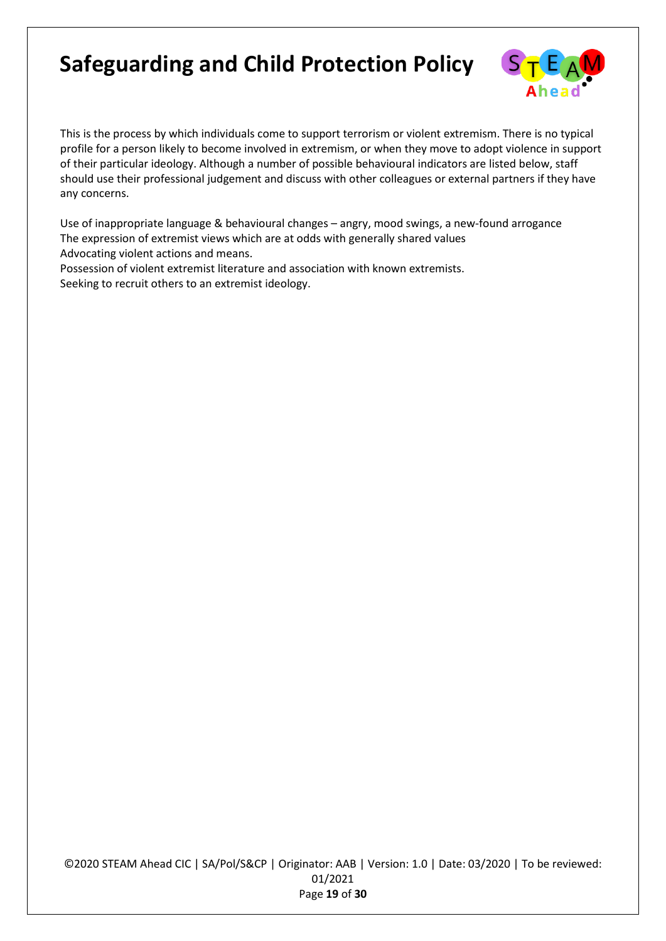

This is the process by which individuals come to support terrorism or violent extremism. There is no typical profile for a person likely to become involved in extremism, or when they move to adopt violence in support of their particular ideology. Although a number of possible behavioural indicators are listed below, staff should use their professional judgement and discuss with other colleagues or external partners if they have any concerns.

Use of inappropriate language & behavioural changes – angry, mood swings, a new-found arrogance The expression of extremist views which are at odds with generally shared values Advocating violent actions and means.

Possession of violent extremist literature and association with known extremists. Seeking to recruit others to an extremist ideology.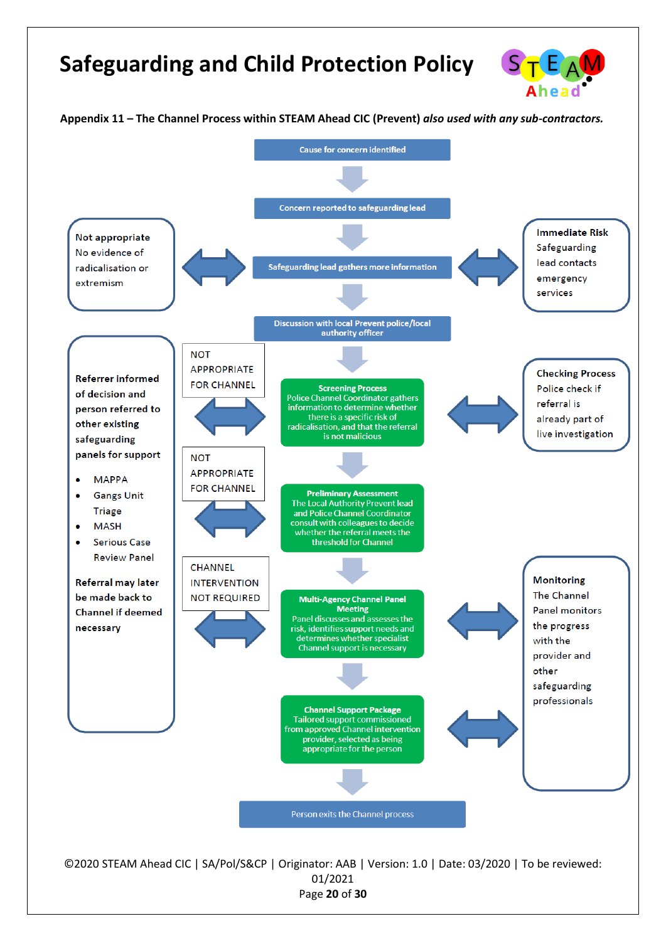

**Appendix 11 – The Channel Process within STEAM Ahead CIC (Prevent)** *also used with any sub-contractors.*



©2020 STEAM Ahead CIC | SA/Pol/S&CP | Originator: AAB | Version: 1.0 | Date: 03/2020 | To be reviewed: 01/2021 Page **20** of **30**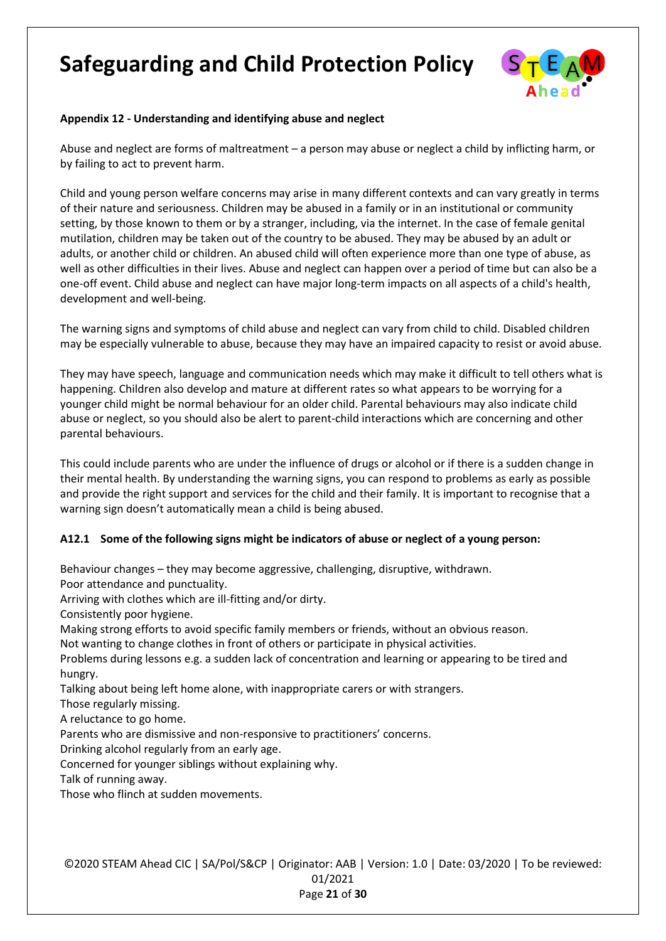

#### **Appendix 12 - Understanding and identifying abuse and neglect**

Abuse and neglect are forms of maltreatment – a person may abuse or neglect a child by inflicting harm, or by failing to act to prevent harm.

Child and young person welfare concerns may arise in many different contexts and can vary greatly in terms of their nature and seriousness. Children may be abused in a family or in an institutional or community setting, by those known to them or by a stranger, including, via the internet. In the case of female genital mutilation, children may be taken out of the country to be abused. They may be abused by an adult or adults, or another child or children. An abused child will often experience more than one type of abuse, as well as other difficulties in their lives. Abuse and neglect can happen over a period of time but can also be a one-off event. Child abuse and neglect can have major long-term impacts on all aspects of a child's health, development and well-being.

The warning signs and symptoms of child abuse and neglect can vary from child to child. Disabled children may be especially vulnerable to abuse, because they may have an impaired capacity to resist or avoid abuse.

They may have speech, language and communication needs which may make it difficult to tell others what is happening. Children also develop and mature at different rates so what appears to be worrying for a younger child might be normal behaviour for an older child. Parental behaviours may also indicate child abuse or neglect, so you should also be alert to parent-child interactions which are concerning and other parental behaviours.

This could include parents who are under the influence of drugs or alcohol or if there is a sudden change in their mental health. By understanding the warning signs, you can respond to problems as early as possible and provide the right support and services for the child and their family. It is important to recognise that a warning sign doesn't automatically mean a child is being abused.

#### **A12.1 Some of the following signs might be indicators of abuse or neglect of a young person:**

Behaviour changes – they may become aggressive, challenging, disruptive, withdrawn.

Poor attendance and punctuality.

Arriving with clothes which are ill-fitting and/or dirty.

Consistently poor hygiene.

Making strong efforts to avoid specific family members or friends, without an obvious reason.

Not wanting to change clothes in front of others or participate in physical activities.

Problems during lessons e.g. a sudden lack of concentration and learning or appearing to be tired and hungry.

Talking about being left home alone, with inappropriate carers or with strangers.

Those regularly missing.

A reluctance to go home.

Parents who are dismissive and non-responsive to practitioners' concerns.

Drinking alcohol regularly from an early age.

Concerned for younger siblings without explaining why.

Talk of running away.

Those who flinch at sudden movements.

©2020 STEAM Ahead CIC | SA/Pol/S&CP | Originator: AAB | Version: 1.0 | Date: 03/2020 | To be reviewed: 01/2021 Page **21** of **30**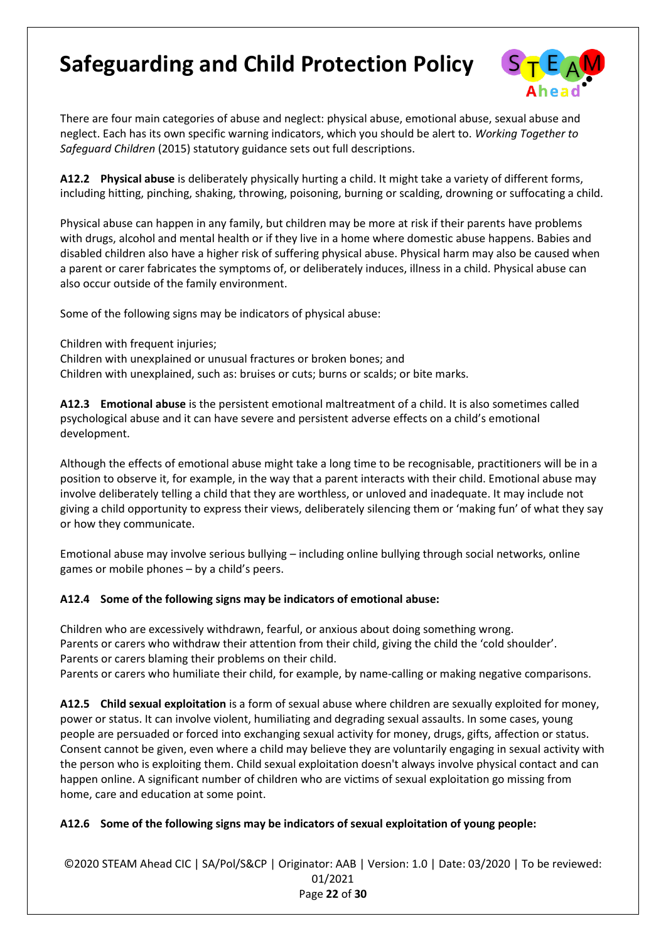

There are four main categories of abuse and neglect: physical abuse, emotional abuse, sexual abuse and neglect. Each has its own specific warning indicators, which you should be alert to. *Working Together to Safeguard Children* (2015) statutory guidance sets out full descriptions.

**A12.2 Physical abuse** is deliberately physically hurting a child. It might take a variety of different forms, including hitting, pinching, shaking, throwing, poisoning, burning or scalding, drowning or suffocating a child.

Physical abuse can happen in any family, but children may be more at risk if their parents have problems with drugs, alcohol and mental health or if they live in a home where domestic abuse happens. Babies and disabled children also have a higher risk of suffering physical abuse. Physical harm may also be caused when a parent or carer fabricates the symptoms of, or deliberately induces, illness in a child. Physical abuse can also occur outside of the family environment.

Some of the following signs may be indicators of physical abuse:

Children with frequent injuries;

Children with unexplained or unusual fractures or broken bones; and Children with unexplained, such as: bruises or cuts; burns or scalds; or bite marks.

**A12.3 Emotional abuse** is the persistent emotional maltreatment of a child. It is also sometimes called psychological abuse and it can have severe and persistent adverse effects on a child's emotional development.

Although the effects of emotional abuse might take a long time to be recognisable, practitioners will be in a position to observe it, for example, in the way that a parent interacts with their child. Emotional abuse may involve deliberately telling a child that they are worthless, or unloved and inadequate. It may include not giving a child opportunity to express their views, deliberately silencing them or 'making fun' of what they say or how they communicate.

Emotional abuse may involve serious bullying – including online bullying through social networks, online games or mobile phones – by a child's peers.

#### **A12.4 Some of the following signs may be indicators of emotional abuse:**

Children who are excessively withdrawn, fearful, or anxious about doing something wrong. Parents or carers who withdraw their attention from their child, giving the child the 'cold shoulder'. Parents or carers blaming their problems on their child. Parents or carers who humiliate their child, for example, by name-calling or making negative comparisons.

**A12.5 Child sexual exploitation** is a form of sexual abuse where children are sexually exploited for money, power or status. It can involve violent, humiliating and degrading sexual assaults. In some cases, young people are persuaded or forced into exchanging sexual activity for money, drugs, gifts, affection or status. Consent cannot be given, even where a child may believe they are voluntarily engaging in sexual activity with the person who is exploiting them. Child sexual exploitation doesn't always involve physical contact and can happen online. A significant number of children who are victims of sexual exploitation go missing from home, care and education at some point.

#### **A12.6 Some of the following signs may be indicators of sexual exploitation of young people:**

©2020 STEAM Ahead CIC | SA/Pol/S&CP | Originator: AAB | Version: 1.0 | Date: 03/2020 | To be reviewed: 01/2021 Page **22** of **30**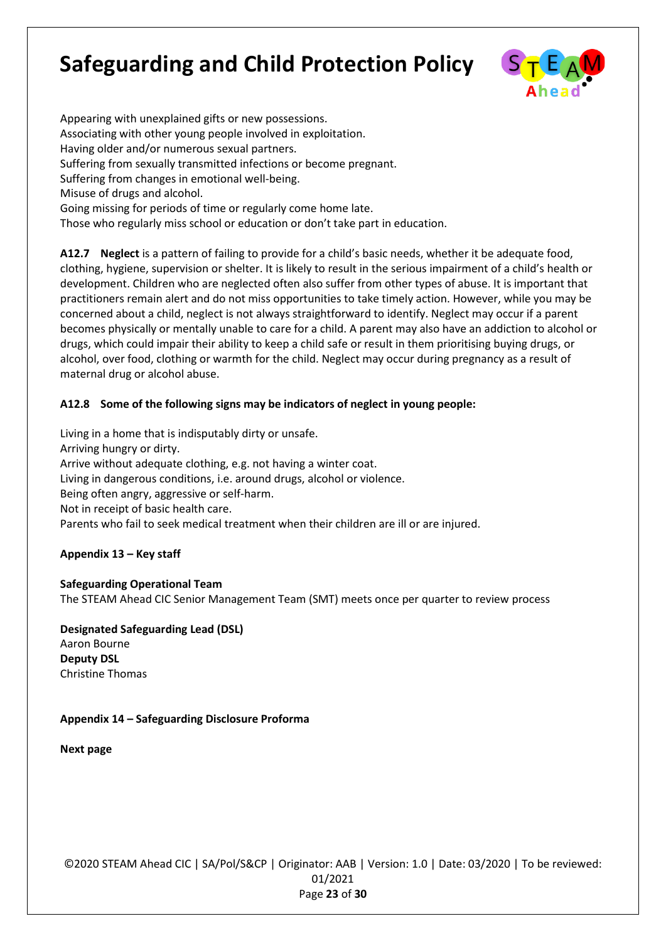

Appearing with unexplained gifts or new possessions. Associating with other young people involved in exploitation. Having older and/or numerous sexual partners. Suffering from sexually transmitted infections or become pregnant. Suffering from changes in emotional well-being. Misuse of drugs and alcohol. Going missing for periods of time or regularly come home late. Those who regularly miss school or education or don't take part in education.

**A12.7 Neglect** is a pattern of failing to provide for a child's basic needs, whether it be adequate food, clothing, hygiene, supervision or shelter. It is likely to result in the serious impairment of a child's health or development. Children who are neglected often also suffer from other types of abuse. It is important that practitioners remain alert and do not miss opportunities to take timely action. However, while you may be concerned about a child, neglect is not always straightforward to identify. Neglect may occur if a parent becomes physically or mentally unable to care for a child. A parent may also have an addiction to alcohol or drugs, which could impair their ability to keep a child safe or result in them prioritising buying drugs, or alcohol, over food, clothing or warmth for the child. Neglect may occur during pregnancy as a result of maternal drug or alcohol abuse.

#### **A12.8 Some of the following signs may be indicators of neglect in young people:**

Living in a home that is indisputably dirty or unsafe. Arriving hungry or dirty. Arrive without adequate clothing, e.g. not having a winter coat. Living in dangerous conditions, i.e. around drugs, alcohol or violence. Being often angry, aggressive or self-harm. Not in receipt of basic health care. Parents who fail to seek medical treatment when their children are ill or are injured.

#### **Appendix 13 – Key staff**

#### **Safeguarding Operational Team**

The STEAM Ahead CIC Senior Management Team (SMT) meets once per quarter to review process

#### **Designated Safeguarding Lead (DSL)** Aaron Bourne **Deputy DSL** Christine Thomas

#### **Appendix 14 – Safeguarding Disclosure Proforma**

**Next page**

©2020 STEAM Ahead CIC | SA/Pol/S&CP | Originator: AAB | Version: 1.0 | Date: 03/2020 | To be reviewed: 01/2021 Page **23** of **30**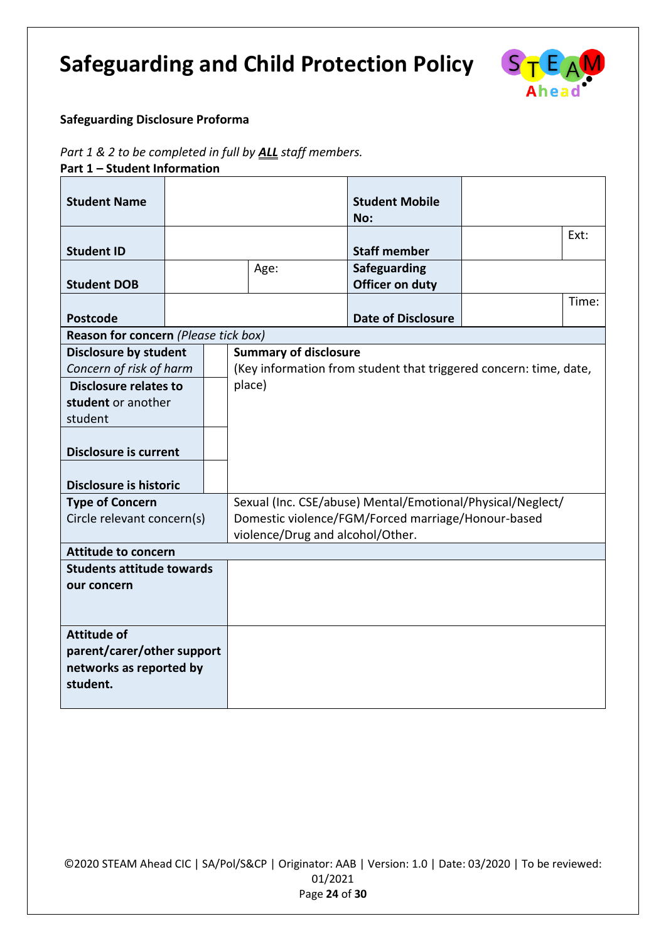

#### **Safeguarding Disclosure Proforma**

#### *Part 1 & 2 to be completed in full by ALL staff members.*

**Part 1 – Student Information** 

| <b>Student Name</b>                                               |  |  |                                                            |                              | <b>Student Mobile</b><br>No:                                      |  |       |  |
|-------------------------------------------------------------------|--|--|------------------------------------------------------------|------------------------------|-------------------------------------------------------------------|--|-------|--|
| <b>Student ID</b>                                                 |  |  |                                                            |                              | <b>Staff member</b>                                               |  | Ext:  |  |
|                                                                   |  |  |                                                            |                              |                                                                   |  |       |  |
| <b>Student DOB</b>                                                |  |  |                                                            | Age:                         | Safeguarding<br>Officer on duty                                   |  |       |  |
|                                                                   |  |  |                                                            |                              |                                                                   |  | Time: |  |
| <b>Postcode</b>                                                   |  |  |                                                            |                              | <b>Date of Disclosure</b>                                         |  |       |  |
| Reason for concern (Please tick box)                              |  |  |                                                            |                              |                                                                   |  |       |  |
| <b>Disclosure by student</b>                                      |  |  |                                                            | <b>Summary of disclosure</b> |                                                                   |  |       |  |
| Concern of risk of harm                                           |  |  |                                                            |                              | (Key information from student that triggered concern: time, date, |  |       |  |
| <b>Disclosure relates to</b>                                      |  |  |                                                            | place)                       |                                                                   |  |       |  |
| student or another                                                |  |  |                                                            |                              |                                                                   |  |       |  |
| student                                                           |  |  |                                                            |                              |                                                                   |  |       |  |
| <b>Disclosure is current</b>                                      |  |  |                                                            |                              |                                                                   |  |       |  |
| Disclosure is historic                                            |  |  |                                                            |                              |                                                                   |  |       |  |
| <b>Type of Concern</b>                                            |  |  | Sexual (Inc. CSE/abuse) Mental/Emotional/Physical/Neglect/ |                              |                                                                   |  |       |  |
| Circle relevant concern(s)                                        |  |  | Domestic violence/FGM/Forced marriage/Honour-based         |                              |                                                                   |  |       |  |
|                                                                   |  |  | violence/Drug and alcohol/Other.                           |                              |                                                                   |  |       |  |
| <b>Attitude to concern</b>                                        |  |  |                                                            |                              |                                                                   |  |       |  |
| <b>Students attitude towards</b>                                  |  |  |                                                            |                              |                                                                   |  |       |  |
| our concern                                                       |  |  |                                                            |                              |                                                                   |  |       |  |
|                                                                   |  |  |                                                            |                              |                                                                   |  |       |  |
| <b>Attitude of</b>                                                |  |  |                                                            |                              |                                                                   |  |       |  |
| parent/carer/other support<br>networks as reported by<br>student. |  |  |                                                            |                              |                                                                   |  |       |  |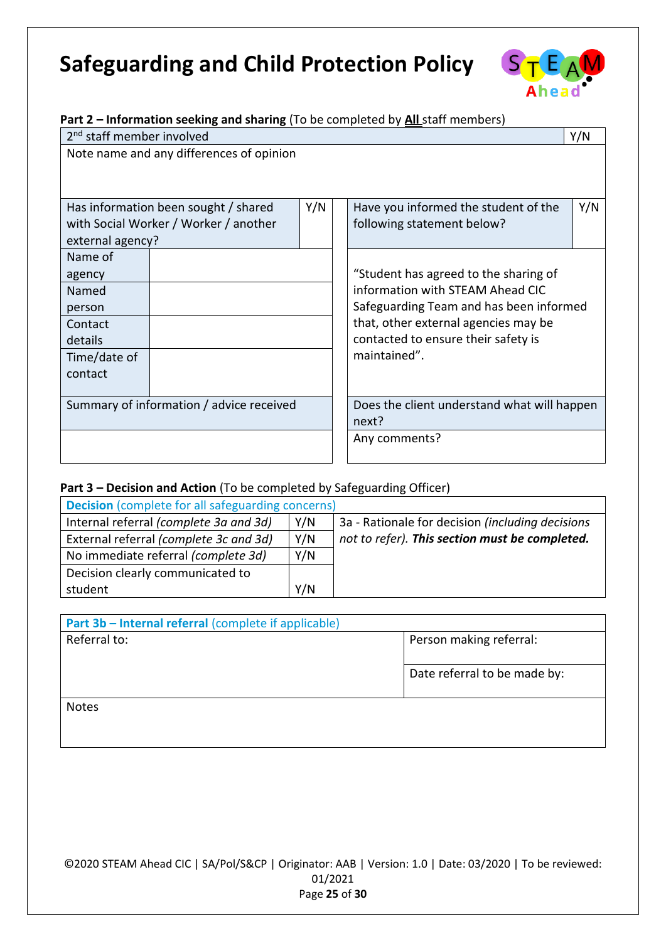

#### **Part 2 – Information seeking and sharing** (To be completed by **All** staff members)

| 2 <sup>nd</sup> staff member involved    |                                          |     |  |                                             | Y/N |
|------------------------------------------|------------------------------------------|-----|--|---------------------------------------------|-----|
|                                          | Note name and any differences of opinion |     |  |                                             |     |
|                                          |                                          |     |  |                                             |     |
|                                          |                                          |     |  |                                             |     |
|                                          | Has information been sought / shared     | Y/N |  | Have you informed the student of the        | Y/N |
|                                          | with Social Worker / Worker / another    |     |  | following statement below?                  |     |
| external agency?                         |                                          |     |  |                                             |     |
| Name of                                  |                                          |     |  |                                             |     |
| agency                                   |                                          |     |  | "Student has agreed to the sharing of       |     |
| Named                                    |                                          |     |  | information with STEAM Ahead CIC            |     |
| person                                   |                                          |     |  | Safeguarding Team and has been informed     |     |
| Contact                                  |                                          |     |  | that, other external agencies may be        |     |
| details                                  |                                          |     |  | contacted to ensure their safety is         |     |
| Time/date of                             |                                          |     |  | maintained".                                |     |
| contact                                  |                                          |     |  |                                             |     |
|                                          |                                          |     |  |                                             |     |
| Summary of information / advice received |                                          |     |  | Does the client understand what will happen |     |
|                                          |                                          |     |  | next?                                       |     |
|                                          |                                          |     |  | Any comments?                               |     |
|                                          |                                          |     |  |                                             |     |

#### **Part 3 - Decision and Action** (To be completed by Safeguarding Officer)

| <b>Decision</b> (complete for all safeguarding concerns) |     |                                                  |  |  |  |  |
|----------------------------------------------------------|-----|--------------------------------------------------|--|--|--|--|
| Internal referral (complete 3a and 3d)                   | Y/N | 3a - Rationale for decision (including decisions |  |  |  |  |
| External referral (complete 3c and 3d)                   | Y/N | not to refer). This section must be completed.   |  |  |  |  |
| No immediate referral (complete 3d)                      | Y/N |                                                  |  |  |  |  |
| Decision clearly communicated to                         |     |                                                  |  |  |  |  |
| student                                                  | Y/N |                                                  |  |  |  |  |

| <b>Part 3b - Internal referral (complete if applicable)</b> |                              |  |  |  |  |
|-------------------------------------------------------------|------------------------------|--|--|--|--|
| Referral to:                                                | Person making referral:      |  |  |  |  |
|                                                             | Date referral to be made by: |  |  |  |  |
| <b>Notes</b>                                                |                              |  |  |  |  |

©2020 STEAM Ahead CIC | SA/Pol/S&CP | Originator: AAB | Version: 1.0 | Date: 03/2020 | To be reviewed: 01/2021 Page **25** of **30**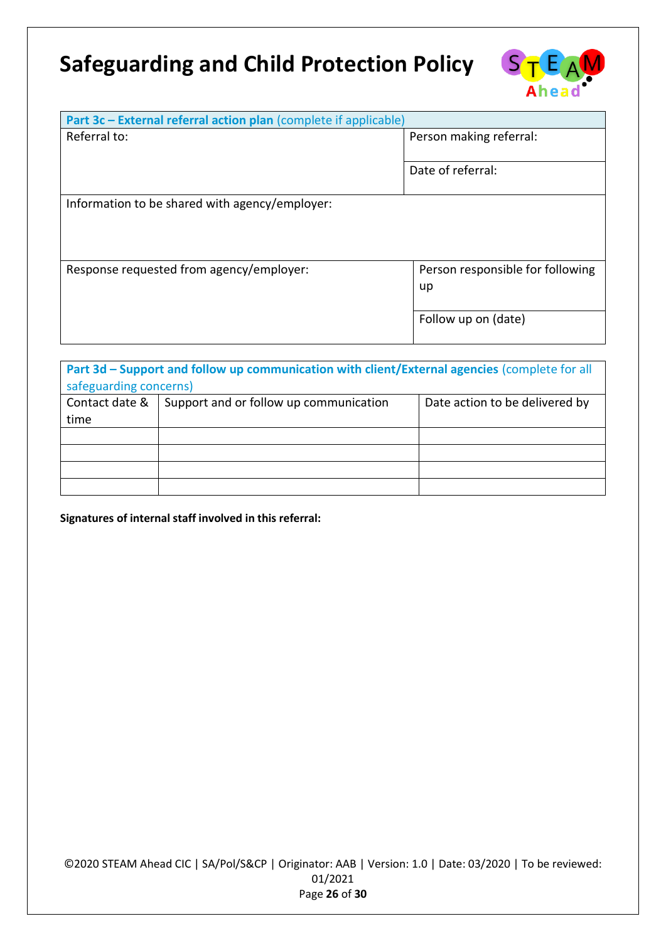

| Part 3c - External referral action plan (complete if applicable) |
|------------------------------------------------------------------|
| Person making referral:                                          |
|                                                                  |
| Date of referral:                                                |
|                                                                  |
|                                                                  |
|                                                                  |
|                                                                  |
|                                                                  |
| Person responsible for following                                 |
| up                                                               |
|                                                                  |
| Follow up on (date)                                              |
|                                                                  |
|                                                                  |

| Part 3d – Support and follow up communication with client/External agencies (complete for all |                                        |                                |  |  |  |  |
|-----------------------------------------------------------------------------------------------|----------------------------------------|--------------------------------|--|--|--|--|
| safeguarding concerns)                                                                        |                                        |                                |  |  |  |  |
| Contact date &                                                                                | Support and or follow up communication | Date action to be delivered by |  |  |  |  |
| time                                                                                          |                                        |                                |  |  |  |  |
|                                                                                               |                                        |                                |  |  |  |  |
|                                                                                               |                                        |                                |  |  |  |  |
|                                                                                               |                                        |                                |  |  |  |  |
|                                                                                               |                                        |                                |  |  |  |  |

**Signatures of internal staff involved in this referral:**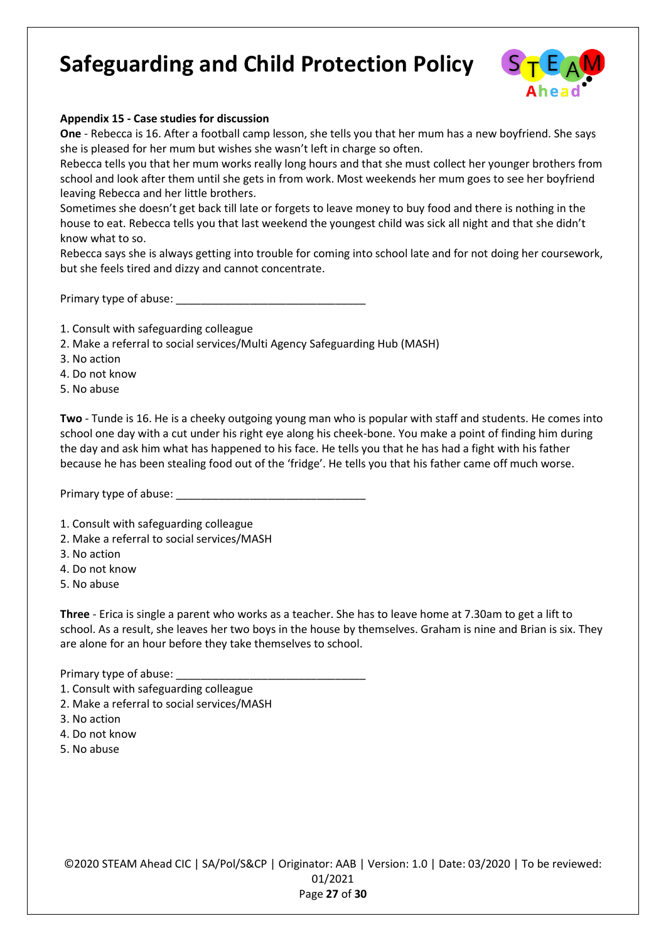

#### **Appendix 15 - Case studies for discussion**

**One** - Rebecca is 16. After a football camp lesson, she tells you that her mum has a new boyfriend. She says she is pleased for her mum but wishes she wasn't left in charge so often.

Rebecca tells you that her mum works really long hours and that she must collect her younger brothers from school and look after them until she gets in from work. Most weekends her mum goes to see her boyfriend leaving Rebecca and her little brothers.

Sometimes she doesn't get back till late or forgets to leave money to buy food and there is nothing in the house to eat. Rebecca tells you that last weekend the youngest child was sick all night and that she didn't know what to so.

Rebecca says she is always getting into trouble for coming into school late and for not doing her coursework, but she feels tired and dizzy and cannot concentrate.

Primary type of abuse:

- 1. Consult with safeguarding colleague
- 2. Make a referral to social services/Multi Agency Safeguarding Hub (MASH)
- 3. No action
- 4. Do not know
- 5. No abuse

**Two** - Tunde is 16. He is a cheeky outgoing young man who is popular with staff and students. He comes into school one day with a cut under his right eye along his cheek-bone. You make a point of finding him during the day and ask him what has happened to his face. He tells you that he has had a fight with his father because he has been stealing food out of the 'fridge'. He tells you that his father came off much worse.

Primary type of abuse: \_\_\_\_\_\_\_\_\_\_\_\_\_\_\_\_\_\_\_\_\_\_\_\_\_\_\_\_\_\_\_

- 1. Consult with safeguarding colleague
- 2. Make a referral to social services/MASH
- 3. No action
- 4. Do not know
- 5. No abuse

**Three** - Erica is single a parent who works as a teacher. She has to leave home at 7.30am to get a lift to school. As a result, she leaves her two boys in the house by themselves. Graham is nine and Brian is six. They are alone for an hour before they take themselves to school.

Primary type of abuse:

- 1. Consult with safeguarding colleague
- 2. Make a referral to social services/MASH
- 3. No action
- 4. Do not know
- 5. No abuse

©2020 STEAM Ahead CIC | SA/Pol/S&CP | Originator: AAB | Version: 1.0 | Date: 03/2020 | To be reviewed: 01/2021 Page **27** of **30**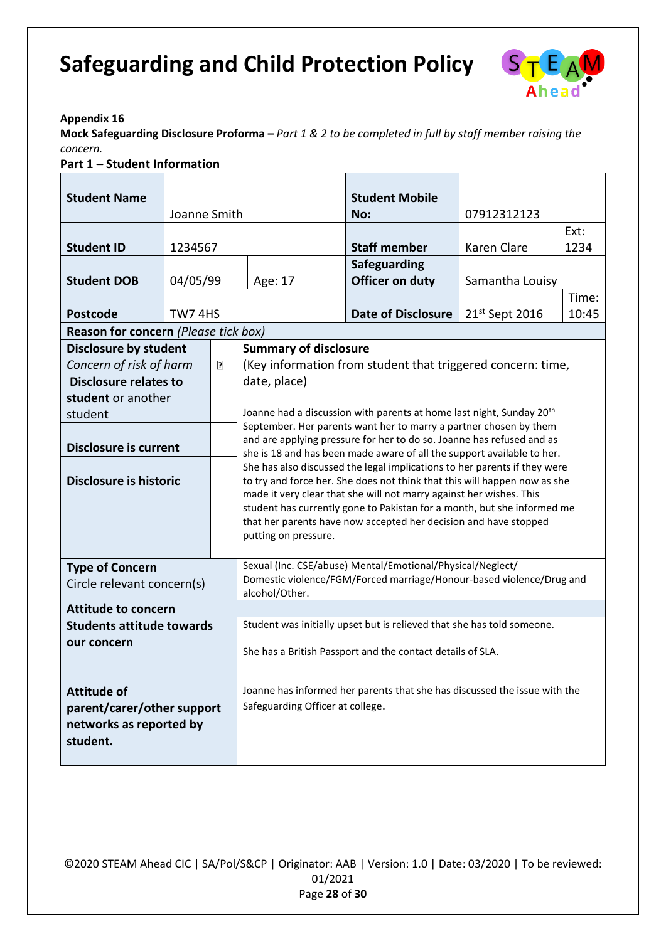

#### **Appendix 16**

**Mock Safeguarding Disclosure Proforma –** *Part 1 & 2 to be completed in full by staff member raising the concern.*

#### **Part 1 – Student Information**

| <b>Student Name</b>                  |              |   | <b>Student Mobile</b>                                                                                                                                                                                                                                                                                                                                                                                |                                                                                  |                     |       |  |  |
|--------------------------------------|--------------|---|------------------------------------------------------------------------------------------------------------------------------------------------------------------------------------------------------------------------------------------------------------------------------------------------------------------------------------------------------------------------------------------------------|----------------------------------------------------------------------------------|---------------------|-------|--|--|
|                                      | Joanne Smith |   |                                                                                                                                                                                                                                                                                                                                                                                                      | No:                                                                              | 07912312123         |       |  |  |
|                                      |              |   |                                                                                                                                                                                                                                                                                                                                                                                                      |                                                                                  |                     | Ext:  |  |  |
| <b>Student ID</b>                    | 1234567      |   |                                                                                                                                                                                                                                                                                                                                                                                                      | <b>Staff member</b>                                                              | Karen Clare         | 1234  |  |  |
|                                      |              |   |                                                                                                                                                                                                                                                                                                                                                                                                      | <b>Safeguarding</b>                                                              |                     |       |  |  |
| <b>Student DOB</b>                   | 04/05/99     |   | Age: 17                                                                                                                                                                                                                                                                                                                                                                                              | Officer on duty                                                                  | Samantha Louisy     |       |  |  |
|                                      |              |   |                                                                                                                                                                                                                                                                                                                                                                                                      |                                                                                  |                     | Time: |  |  |
| <b>Postcode</b>                      | TW74HS       |   |                                                                                                                                                                                                                                                                                                                                                                                                      | <b>Date of Disclosure</b>                                                        | $21^{st}$ Sept 2016 | 10:45 |  |  |
| Reason for concern (Please tick box) |              |   |                                                                                                                                                                                                                                                                                                                                                                                                      |                                                                                  |                     |       |  |  |
| <b>Disclosure by student</b>         |              |   | <b>Summary of disclosure</b>                                                                                                                                                                                                                                                                                                                                                                         |                                                                                  |                     |       |  |  |
| Concern of risk of harm              |              | ⊡ |                                                                                                                                                                                                                                                                                                                                                                                                      | (Key information from student that triggered concern: time,                      |                     |       |  |  |
| <b>Disclosure relates to</b>         |              |   | date, place)                                                                                                                                                                                                                                                                                                                                                                                         |                                                                                  |                     |       |  |  |
| student or another                   |              |   |                                                                                                                                                                                                                                                                                                                                                                                                      |                                                                                  |                     |       |  |  |
| student                              |              |   |                                                                                                                                                                                                                                                                                                                                                                                                      | Joanne had a discussion with parents at home last night, Sunday 20 <sup>th</sup> |                     |       |  |  |
|                                      |              |   | September. Her parents want her to marry a partner chosen by them                                                                                                                                                                                                                                                                                                                                    |                                                                                  |                     |       |  |  |
| <b>Disclosure is current</b>         |              |   | and are applying pressure for her to do so. Joanne has refused and as<br>she is 18 and has been made aware of all the support available to her.                                                                                                                                                                                                                                                      |                                                                                  |                     |       |  |  |
| Disclosure is historic               |              |   | She has also discussed the legal implications to her parents if they were<br>to try and force her. She does not think that this will happen now as she<br>made it very clear that she will not marry against her wishes. This<br>student has currently gone to Pakistan for a month, but she informed me<br>that her parents have now accepted her decision and have stopped<br>putting on pressure. |                                                                                  |                     |       |  |  |
| <b>Type of Concern</b>               |              |   | Sexual (Inc. CSE/abuse) Mental/Emotional/Physical/Neglect/                                                                                                                                                                                                                                                                                                                                           |                                                                                  |                     |       |  |  |
| Circle relevant concern(s)           |              |   | Domestic violence/FGM/Forced marriage/Honour-based violence/Drug and<br>alcohol/Other.                                                                                                                                                                                                                                                                                                               |                                                                                  |                     |       |  |  |
| <b>Attitude to concern</b>           |              |   |                                                                                                                                                                                                                                                                                                                                                                                                      |                                                                                  |                     |       |  |  |
| <b>Students attitude towards</b>     |              |   | Student was initially upset but is relieved that she has told someone.                                                                                                                                                                                                                                                                                                                               |                                                                                  |                     |       |  |  |
| our concern                          |              |   | She has a British Passport and the contact details of SLA.                                                                                                                                                                                                                                                                                                                                           |                                                                                  |                     |       |  |  |
|                                      |              |   |                                                                                                                                                                                                                                                                                                                                                                                                      |                                                                                  |                     |       |  |  |
| <b>Attitude of</b>                   |              |   | Joanne has informed her parents that she has discussed the issue with the                                                                                                                                                                                                                                                                                                                            |                                                                                  |                     |       |  |  |
| parent/carer/other support           |              |   | Safeguarding Officer at college.                                                                                                                                                                                                                                                                                                                                                                     |                                                                                  |                     |       |  |  |
| networks as reported by              |              |   |                                                                                                                                                                                                                                                                                                                                                                                                      |                                                                                  |                     |       |  |  |
| student.                             |              |   |                                                                                                                                                                                                                                                                                                                                                                                                      |                                                                                  |                     |       |  |  |
|                                      |              |   |                                                                                                                                                                                                                                                                                                                                                                                                      |                                                                                  |                     |       |  |  |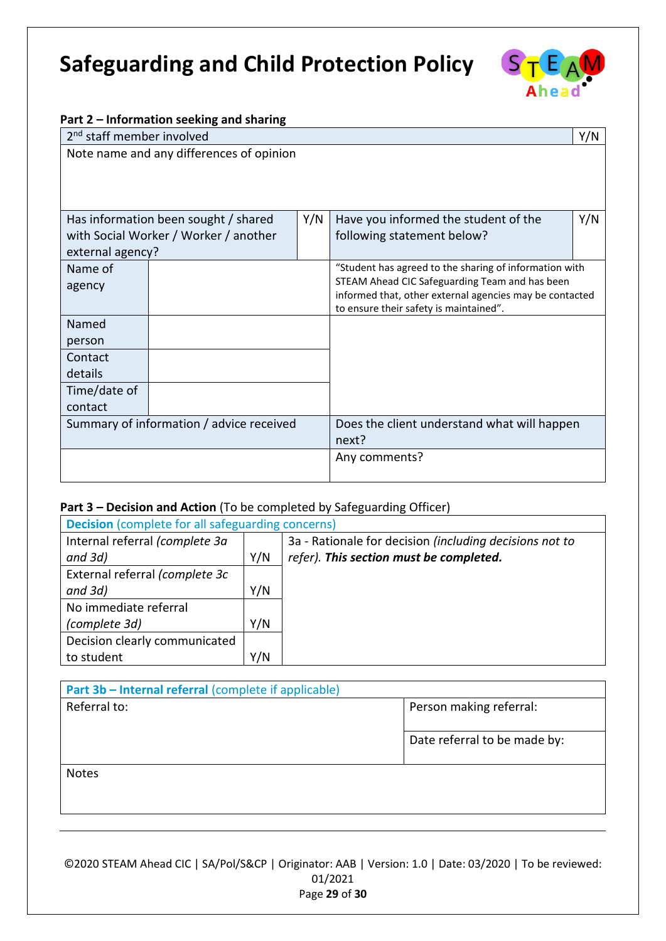

#### 2<sup>nd</sup> staff member involved **Y/N** and the state of the state of the state of the state of the state of the state of the state of the state of the state of the state of the state of the state of the state of the state of th Note name and any differences of opinion Has information been sought / shared with Social Worker / Worker / another external agency?  $\sqrt{Y/N}$  Have you informed the student of the following statement below? Y/N Name of agency "Student has agreed to the sharing of information with STEAM Ahead CIC Safeguarding Team and has been informed that, other external agencies may be contacted to ensure their safety is maintained". Named person **Contact** details Time/date of contact Summary of information / advice received  $\Box$  Does the client understand what will happen next? Any comments?

#### **Part 3 – Decision and Action** (To be completed by Safeguarding Officer)

| <b>Decision</b> (complete for all safeguarding concerns) |     |                                                         |  |  |
|----------------------------------------------------------|-----|---------------------------------------------------------|--|--|
| Internal referral (complete 3a                           |     | 3a - Rationale for decision (including decisions not to |  |  |
| and $3d$ )                                               | Y/N | refer). This section must be completed.                 |  |  |
| External referral (complete 3c                           |     |                                                         |  |  |
| and $3d$ )                                               | Y/N |                                                         |  |  |
| No immediate referral                                    |     |                                                         |  |  |
| (complete 3d)                                            | Y/N |                                                         |  |  |
| Decision clearly communicated                            |     |                                                         |  |  |
| to student                                               | Y/N |                                                         |  |  |

| <b>Part 3b – Internal referral (complete if applicable)</b> |                              |
|-------------------------------------------------------------|------------------------------|
| Referral to:                                                | Person making referral:      |
|                                                             | Date referral to be made by: |
| <b>Notes</b>                                                |                              |

©2020 STEAM Ahead CIC | SA/Pol/S&CP | Originator: AAB | Version: 1.0 | Date: 03/2020 | To be reviewed: 01/2021 Page **29** of **30**

#### **Part 2 – Information seeking and sharing**